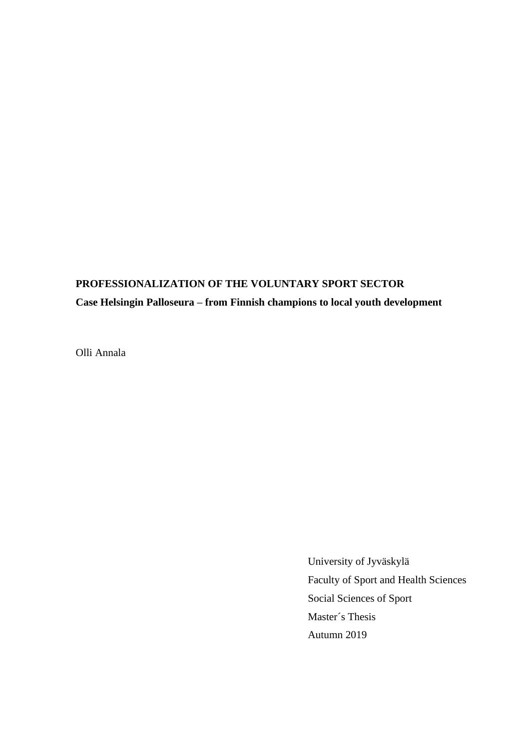## **PROFESSIONALIZATION OF THE VOLUNTARY SPORT SECTOR**

## **Case Helsingin Palloseura – from Finnish champions to local youth development**

Olli Annala

University of Jyväskylä Faculty of Sport and Health Sciences Social Sciences of Sport Master´s Thesis Autumn 2019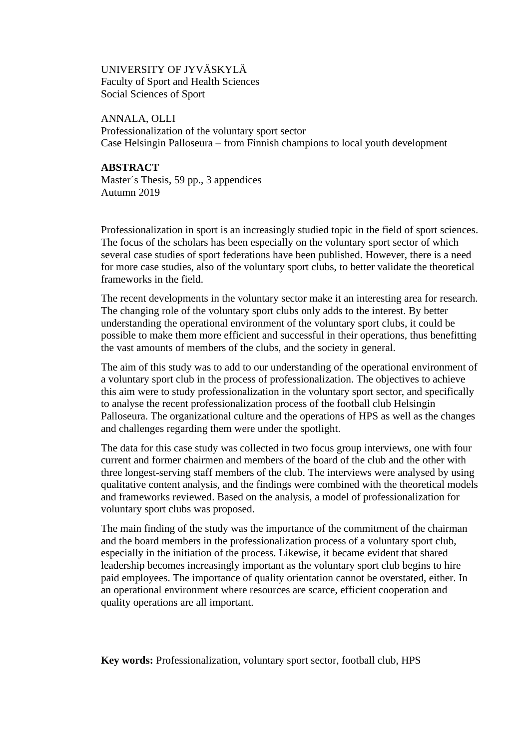## UNIVERSITY OF JYVÄSKYLÄ Faculty of Sport and Health Sciences Social Sciences of Sport

ANNALA, OLLI Professionalization of the voluntary sport sector Case Helsingin Palloseura – from Finnish champions to local youth development

## **ABSTRACT**

Master´s Thesis, 59 pp., 3 appendices Autumn 2019

Professionalization in sport is an increasingly studied topic in the field of sport sciences. The focus of the scholars has been especially on the voluntary sport sector of which several case studies of sport federations have been published. However, there is a need for more case studies, also of the voluntary sport clubs, to better validate the theoretical frameworks in the field.

The recent developments in the voluntary sector make it an interesting area for research. The changing role of the voluntary sport clubs only adds to the interest. By better understanding the operational environment of the voluntary sport clubs, it could be possible to make them more efficient and successful in their operations, thus benefitting the vast amounts of members of the clubs, and the society in general.

The aim of this study was to add to our understanding of the operational environment of a voluntary sport club in the process of professionalization. The objectives to achieve this aim were to study professionalization in the voluntary sport sector, and specifically to analyse the recent professionalization process of the football club Helsingin Palloseura. The organizational culture and the operations of HPS as well as the changes and challenges regarding them were under the spotlight.

The data for this case study was collected in two focus group interviews, one with four current and former chairmen and members of the board of the club and the other with three longest-serving staff members of the club. The interviews were analysed by using qualitative content analysis, and the findings were combined with the theoretical models and frameworks reviewed. Based on the analysis, a model of professionalization for voluntary sport clubs was proposed.

The main finding of the study was the importance of the commitment of the chairman and the board members in the professionalization process of a voluntary sport club, especially in the initiation of the process. Likewise, it became evident that shared leadership becomes increasingly important as the voluntary sport club begins to hire paid employees. The importance of quality orientation cannot be overstated, either. In an operational environment where resources are scarce, efficient cooperation and quality operations are all important.

**Key words:** Professionalization, voluntary sport sector, football club, HPS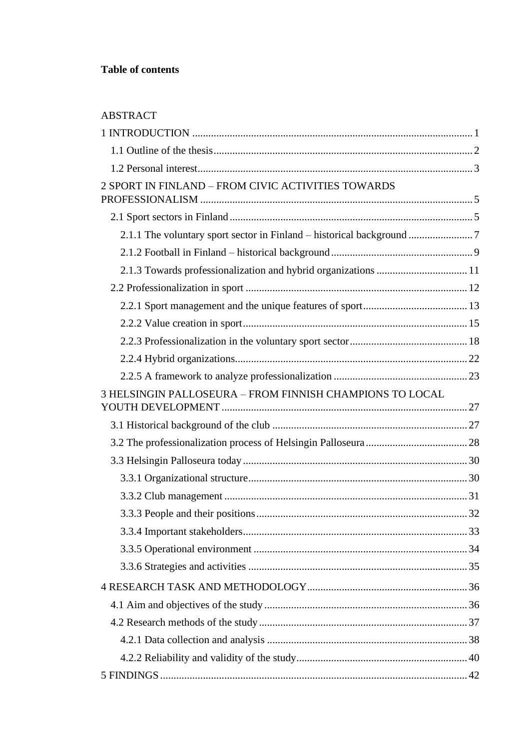## ABSTRACT

| 2 SPORT IN FINLAND – FROM CIVIC ACTIVITIES TOWARDS                    |  |
|-----------------------------------------------------------------------|--|
|                                                                       |  |
| 2.1.1 The voluntary sport sector in Finland - historical background 7 |  |
|                                                                       |  |
|                                                                       |  |
|                                                                       |  |
|                                                                       |  |
|                                                                       |  |
|                                                                       |  |
|                                                                       |  |
|                                                                       |  |
| 3 HELSINGIN PALLOSEURA - FROM FINNISH CHAMPIONS TO LOCAL              |  |
|                                                                       |  |
|                                                                       |  |
|                                                                       |  |
|                                                                       |  |
|                                                                       |  |
|                                                                       |  |
|                                                                       |  |
|                                                                       |  |
|                                                                       |  |
|                                                                       |  |
|                                                                       |  |
|                                                                       |  |
|                                                                       |  |
|                                                                       |  |
|                                                                       |  |
|                                                                       |  |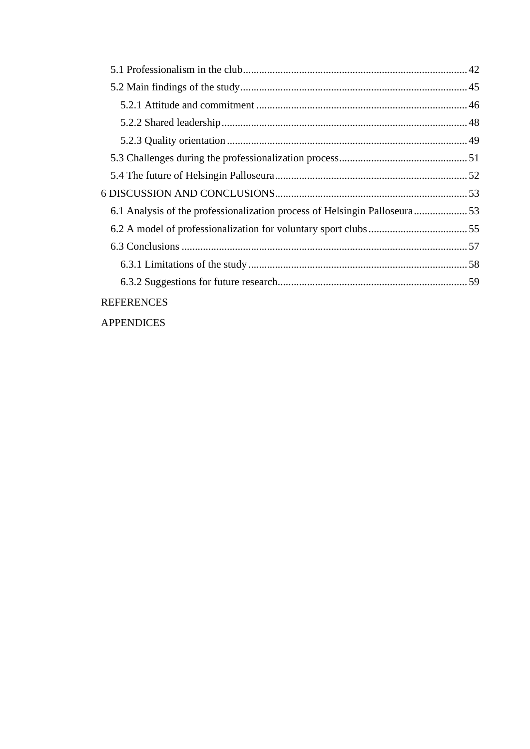| 6.1 Analysis of the professionalization process of Helsingin Palloseura53 |  |
|---------------------------------------------------------------------------|--|
|                                                                           |  |
|                                                                           |  |
|                                                                           |  |
|                                                                           |  |
| <b>REFERENCES</b>                                                         |  |

APPENDICES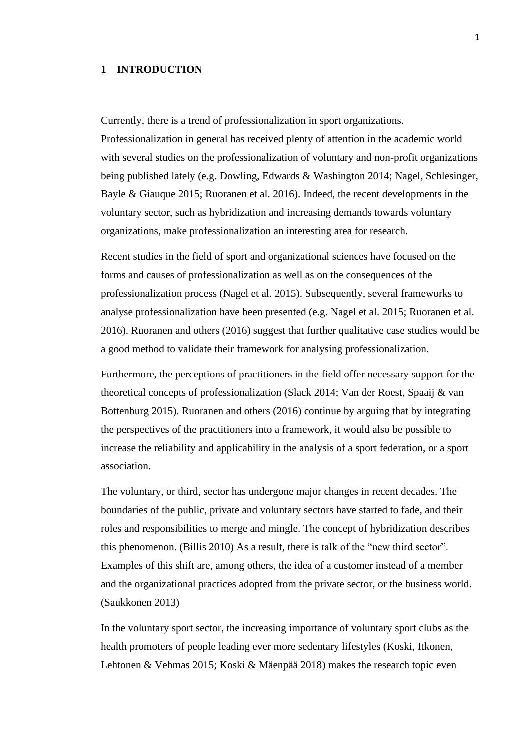#### **1 INTRODUCTION**

Currently, there is a trend of professionalization in sport organizations. Professionalization in general has received plenty of attention in the academic world with several studies on the professionalization of voluntary and non-profit organizations being published lately (e.g. Dowling, Edwards & Washington 2014; Nagel, Schlesinger, Bayle & Giauque 2015; Ruoranen et al. 2016). Indeed, the recent developments in the voluntary sector, such as hybridization and increasing demands towards voluntary organizations, make professionalization an interesting area for research.

Recent studies in the field of sport and organizational sciences have focused on the forms and causes of professionalization as well as on the consequences of the professionalization process (Nagel et al. 2015). Subsequently, several frameworks to analyse professionalization have been presented (e.g. Nagel et al. 2015; Ruoranen et al. 2016). Ruoranen and others (2016) suggest that further qualitative case studies would be a good method to validate their framework for analysing professionalization.

Furthermore, the perceptions of practitioners in the field offer necessary support for the theoretical concepts of professionalization (Slack 2014; Van der Roest, Spaaij & van Bottenburg 2015). Ruoranen and others (2016) continue by arguing that by integrating the perspectives of the practitioners into a framework, it would also be possible to increase the reliability and applicability in the analysis of a sport federation, or a sport association.

The voluntary, or third, sector has undergone major changes in recent decades. The boundaries of the public, private and voluntary sectors have started to fade, and their roles and responsibilities to merge and mingle. The concept of hybridization describes this phenomenon. (Billis 2010) As a result, there is talk of the "new third sector". Examples of this shift are, among others, the idea of a customer instead of a member and the organizational practices adopted from the private sector, or the business world. (Saukkonen 2013)

In the voluntary sport sector, the increasing importance of voluntary sport clubs as the health promoters of people leading ever more sedentary lifestyles (Koski, Itkonen, Lehtonen & Vehmas 2015; Koski & Mäenpää 2018) makes the research topic even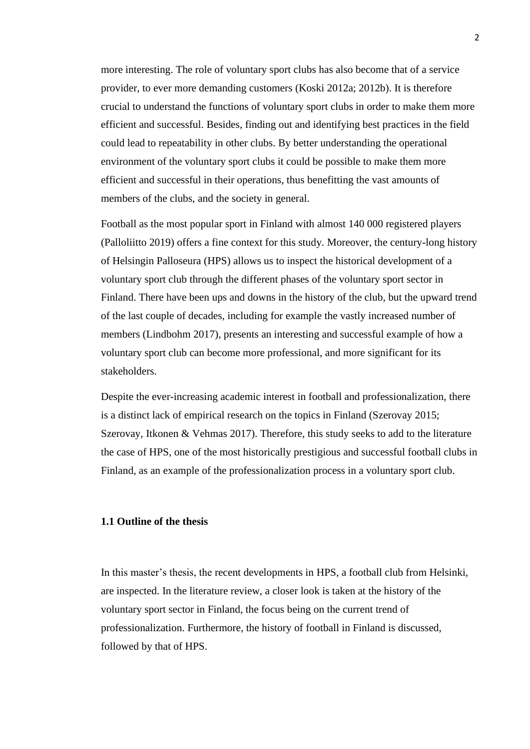more interesting. The role of voluntary sport clubs has also become that of a service provider, to ever more demanding customers (Koski 2012a; 2012b). It is therefore crucial to understand the functions of voluntary sport clubs in order to make them more efficient and successful. Besides, finding out and identifying best practices in the field could lead to repeatability in other clubs. By better understanding the operational environment of the voluntary sport clubs it could be possible to make them more efficient and successful in their operations, thus benefitting the vast amounts of members of the clubs, and the society in general.

Football as the most popular sport in Finland with almost 140 000 registered players (Palloliitto 2019) offers a fine context for this study. Moreover, the century-long history of Helsingin Palloseura (HPS) allows us to inspect the historical development of a voluntary sport club through the different phases of the voluntary sport sector in Finland. There have been ups and downs in the history of the club, but the upward trend of the last couple of decades, including for example the vastly increased number of members (Lindbohm 2017), presents an interesting and successful example of how a voluntary sport club can become more professional, and more significant for its stakeholders.

Despite the ever-increasing academic interest in football and professionalization, there is a distinct lack of empirical research on the topics in Finland (Szerovay 2015; Szerovay, Itkonen & Vehmas 2017). Therefore, this study seeks to add to the literature the case of HPS, one of the most historically prestigious and successful football clubs in Finland, as an example of the professionalization process in a voluntary sport club.

## **1.1 Outline of the thesis**

In this master's thesis, the recent developments in HPS, a football club from Helsinki, are inspected. In the literature review, a closer look is taken at the history of the voluntary sport sector in Finland, the focus being on the current trend of professionalization. Furthermore, the history of football in Finland is discussed, followed by that of HPS.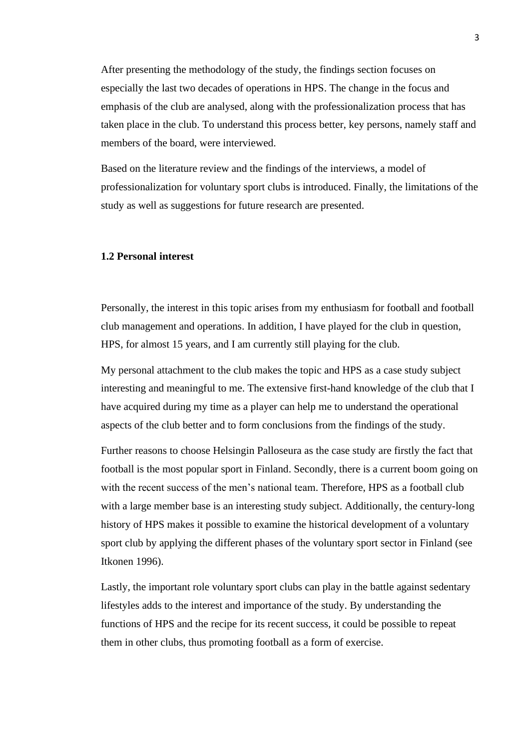After presenting the methodology of the study, the findings section focuses on especially the last two decades of operations in HPS. The change in the focus and emphasis of the club are analysed, along with the professionalization process that has taken place in the club. To understand this process better, key persons, namely staff and members of the board, were interviewed.

Based on the literature review and the findings of the interviews, a model of professionalization for voluntary sport clubs is introduced. Finally, the limitations of the study as well as suggestions for future research are presented.

## **1.2 Personal interest**

Personally, the interest in this topic arises from my enthusiasm for football and football club management and operations. In addition, I have played for the club in question, HPS, for almost 15 years, and I am currently still playing for the club.

My personal attachment to the club makes the topic and HPS as a case study subject interesting and meaningful to me. The extensive first-hand knowledge of the club that I have acquired during my time as a player can help me to understand the operational aspects of the club better and to form conclusions from the findings of the study.

Further reasons to choose Helsingin Palloseura as the case study are firstly the fact that football is the most popular sport in Finland. Secondly, there is a current boom going on with the recent success of the men's national team. Therefore, HPS as a football club with a large member base is an interesting study subject. Additionally, the century-long history of HPS makes it possible to examine the historical development of a voluntary sport club by applying the different phases of the voluntary sport sector in Finland (see Itkonen 1996).

Lastly, the important role voluntary sport clubs can play in the battle against sedentary lifestyles adds to the interest and importance of the study. By understanding the functions of HPS and the recipe for its recent success, it could be possible to repeat them in other clubs, thus promoting football as a form of exercise.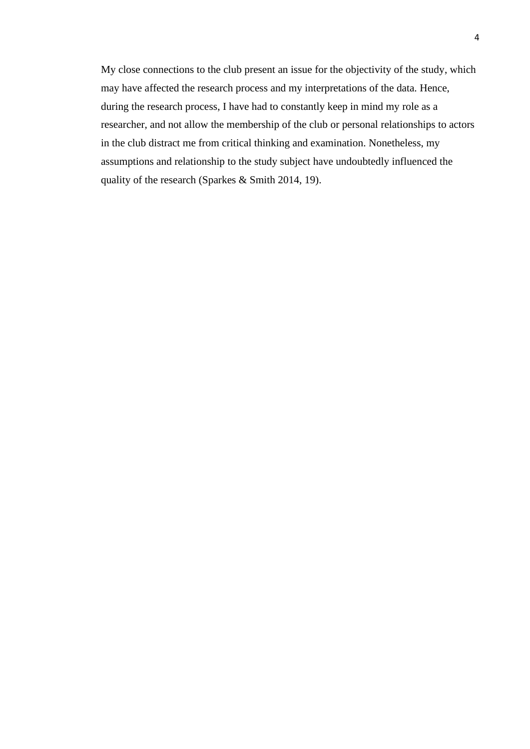My close connections to the club present an issue for the objectivity of the study, which may have affected the research process and my interpretations of the data. Hence, during the research process, I have had to constantly keep in mind my role as a researcher, and not allow the membership of the club or personal relationships to actors in the club distract me from critical thinking and examination. Nonetheless, my assumptions and relationship to the study subject have undoubtedly influenced the quality of the research (Sparkes & Smith 2014, 19).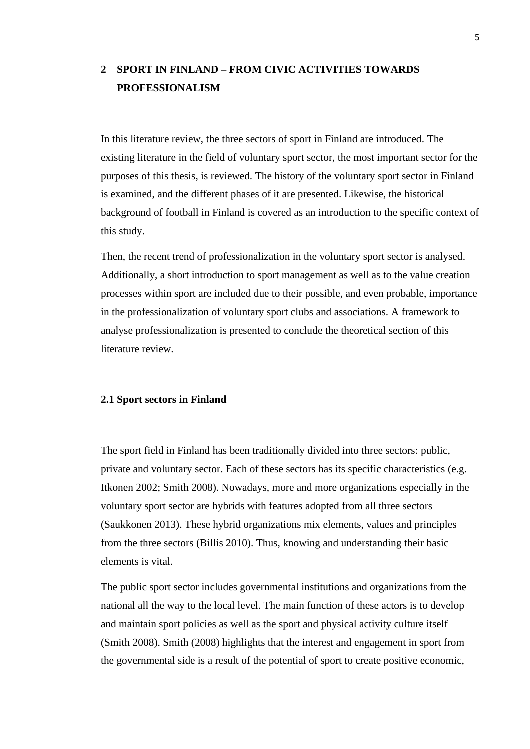# **2 SPORT IN FINLAND – FROM CIVIC ACTIVITIES TOWARDS PROFESSIONALISM**

In this literature review, the three sectors of sport in Finland are introduced. The existing literature in the field of voluntary sport sector, the most important sector for the purposes of this thesis, is reviewed. The history of the voluntary sport sector in Finland is examined, and the different phases of it are presented. Likewise, the historical background of football in Finland is covered as an introduction to the specific context of this study.

Then, the recent trend of professionalization in the voluntary sport sector is analysed. Additionally, a short introduction to sport management as well as to the value creation processes within sport are included due to their possible, and even probable, importance in the professionalization of voluntary sport clubs and associations. A framework to analyse professionalization is presented to conclude the theoretical section of this literature review.

## **2.1 Sport sectors in Finland**

The sport field in Finland has been traditionally divided into three sectors: public, private and voluntary sector. Each of these sectors has its specific characteristics (e.g. Itkonen 2002; Smith 2008). Nowadays, more and more organizations especially in the voluntary sport sector are hybrids with features adopted from all three sectors (Saukkonen 2013). These hybrid organizations mix elements, values and principles from the three sectors (Billis 2010). Thus, knowing and understanding their basic elements is vital.

The public sport sector includes governmental institutions and organizations from the national all the way to the local level. The main function of these actors is to develop and maintain sport policies as well as the sport and physical activity culture itself (Smith 2008). Smith (2008) highlights that the interest and engagement in sport from the governmental side is a result of the potential of sport to create positive economic,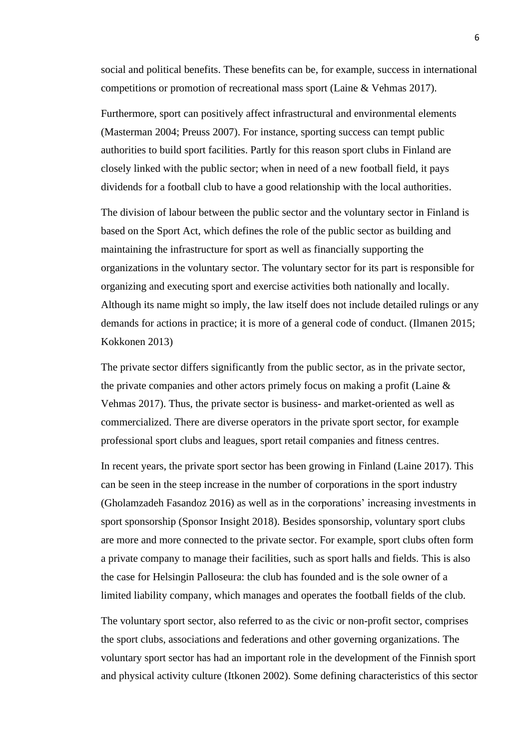social and political benefits. These benefits can be, for example, success in international competitions or promotion of recreational mass sport (Laine & Vehmas 2017).

Furthermore, sport can positively affect infrastructural and environmental elements (Masterman 2004; Preuss 2007). For instance, sporting success can tempt public authorities to build sport facilities. Partly for this reason sport clubs in Finland are closely linked with the public sector; when in need of a new football field, it pays dividends for a football club to have a good relationship with the local authorities.

The division of labour between the public sector and the voluntary sector in Finland is based on the Sport Act, which defines the role of the public sector as building and maintaining the infrastructure for sport as well as financially supporting the organizations in the voluntary sector. The voluntary sector for its part is responsible for organizing and executing sport and exercise activities both nationally and locally. Although its name might so imply, the law itself does not include detailed rulings or any demands for actions in practice; it is more of a general code of conduct. (Ilmanen 2015; Kokkonen 2013)

The private sector differs significantly from the public sector, as in the private sector, the private companies and other actors primely focus on making a profit (Laine & Vehmas 2017). Thus, the private sector is business- and market-oriented as well as commercialized. There are diverse operators in the private sport sector, for example professional sport clubs and leagues, sport retail companies and fitness centres.

In recent years, the private sport sector has been growing in Finland (Laine 2017). This can be seen in the steep increase in the number of corporations in the sport industry (Gholamzadeh Fasandoz 2016) as well as in the corporations' increasing investments in sport sponsorship (Sponsor Insight 2018). Besides sponsorship, voluntary sport clubs are more and more connected to the private sector. For example, sport clubs often form a private company to manage their facilities, such as sport halls and fields. This is also the case for Helsingin Palloseura: the club has founded and is the sole owner of a limited liability company, which manages and operates the football fields of the club.

The voluntary sport sector, also referred to as the civic or non-profit sector, comprises the sport clubs, associations and federations and other governing organizations. The voluntary sport sector has had an important role in the development of the Finnish sport and physical activity culture (Itkonen 2002). Some defining characteristics of this sector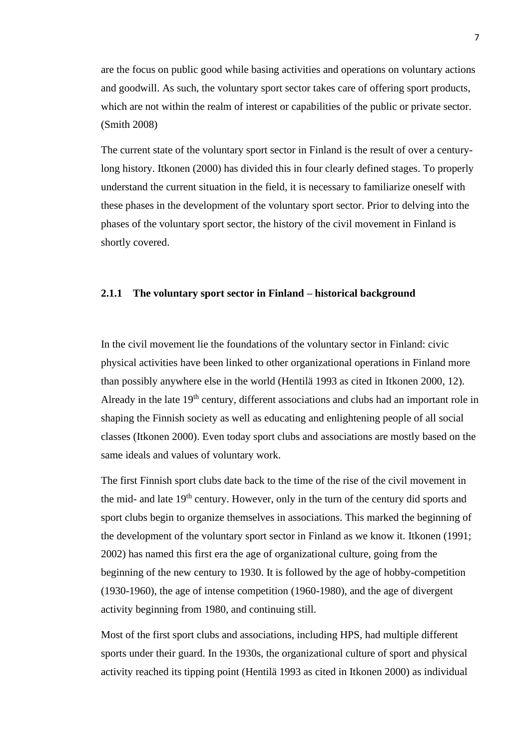are the focus on public good while basing activities and operations on voluntary actions and goodwill. As such, the voluntary sport sector takes care of offering sport products, which are not within the realm of interest or capabilities of the public or private sector. (Smith 2008)

The current state of the voluntary sport sector in Finland is the result of over a centurylong history. Itkonen (2000) has divided this in four clearly defined stages. To properly understand the current situation in the field, it is necessary to familiarize oneself with these phases in the development of the voluntary sport sector. Prior to delving into the phases of the voluntary sport sector, the history of the civil movement in Finland is shortly covered.

#### **2.1.1 The voluntary sport sector in Finland – historical background**

In the civil movement lie the foundations of the voluntary sector in Finland: civic physical activities have been linked to other organizational operations in Finland more than possibly anywhere else in the world (Hentilä 1993 as cited in Itkonen 2000, 12). Already in the late 19<sup>th</sup> century, different associations and clubs had an important role in shaping the Finnish society as well as educating and enlightening people of all social classes (Itkonen 2000). Even today sport clubs and associations are mostly based on the same ideals and values of voluntary work.

The first Finnish sport clubs date back to the time of the rise of the civil movement in the mid- and late  $19<sup>th</sup>$  century. However, only in the turn of the century did sports and sport clubs begin to organize themselves in associations. This marked the beginning of the development of the voluntary sport sector in Finland as we know it. Itkonen (1991; 2002) has named this first era the age of organizational culture, going from the beginning of the new century to 1930. It is followed by the age of hobby-competition (1930-1960), the age of intense competition (1960-1980), and the age of divergent activity beginning from 1980, and continuing still.

Most of the first sport clubs and associations, including HPS, had multiple different sports under their guard. In the 1930s, the organizational culture of sport and physical activity reached its tipping point (Hentilä 1993 as cited in Itkonen 2000) as individual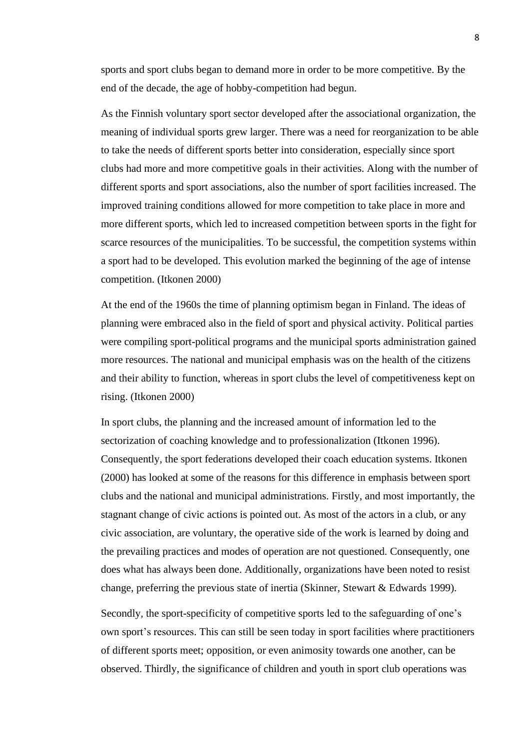sports and sport clubs began to demand more in order to be more competitive. By the end of the decade, the age of hobby-competition had begun.

As the Finnish voluntary sport sector developed after the associational organization, the meaning of individual sports grew larger. There was a need for reorganization to be able to take the needs of different sports better into consideration, especially since sport clubs had more and more competitive goals in their activities. Along with the number of different sports and sport associations, also the number of sport facilities increased. The improved training conditions allowed for more competition to take place in more and more different sports, which led to increased competition between sports in the fight for scarce resources of the municipalities. To be successful, the competition systems within a sport had to be developed. This evolution marked the beginning of the age of intense competition. (Itkonen 2000)

At the end of the 1960s the time of planning optimism began in Finland. The ideas of planning were embraced also in the field of sport and physical activity. Political parties were compiling sport-political programs and the municipal sports administration gained more resources. The national and municipal emphasis was on the health of the citizens and their ability to function, whereas in sport clubs the level of competitiveness kept on rising. (Itkonen 2000)

In sport clubs, the planning and the increased amount of information led to the sectorization of coaching knowledge and to professionalization (Itkonen 1996). Consequently, the sport federations developed their coach education systems. Itkonen (2000) has looked at some of the reasons for this difference in emphasis between sport clubs and the national and municipal administrations. Firstly, and most importantly, the stagnant change of civic actions is pointed out. As most of the actors in a club, or any civic association, are voluntary, the operative side of the work is learned by doing and the prevailing practices and modes of operation are not questioned. Consequently, one does what has always been done. Additionally, organizations have been noted to resist change, preferring the previous state of inertia (Skinner, Stewart & Edwards 1999).

Secondly, the sport-specificity of competitive sports led to the safeguarding of one's own sport's resources. This can still be seen today in sport facilities where practitioners of different sports meet; opposition, or even animosity towards one another, can be observed. Thirdly, the significance of children and youth in sport club operations was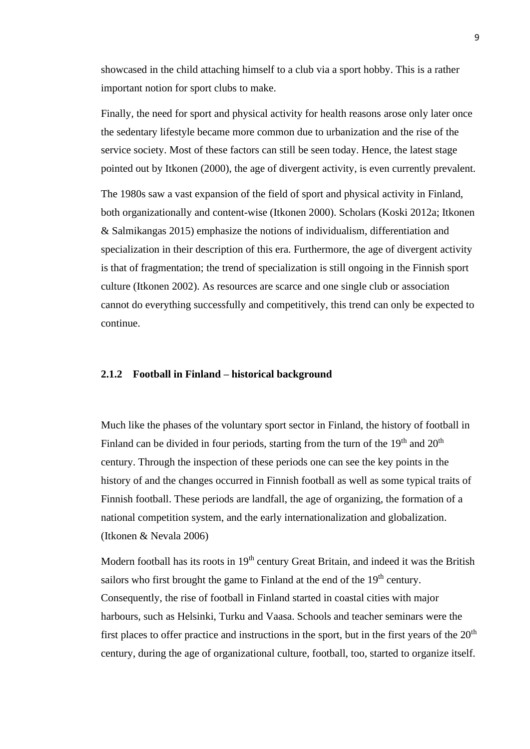showcased in the child attaching himself to a club via a sport hobby. This is a rather important notion for sport clubs to make.

Finally, the need for sport and physical activity for health reasons arose only later once the sedentary lifestyle became more common due to urbanization and the rise of the service society. Most of these factors can still be seen today. Hence, the latest stage pointed out by Itkonen (2000), the age of divergent activity, is even currently prevalent.

The 1980s saw a vast expansion of the field of sport and physical activity in Finland, both organizationally and content-wise (Itkonen 2000). Scholars (Koski 2012a; Itkonen & Salmikangas 2015) emphasize the notions of individualism, differentiation and specialization in their description of this era. Furthermore, the age of divergent activity is that of fragmentation; the trend of specialization is still ongoing in the Finnish sport culture (Itkonen 2002). As resources are scarce and one single club or association cannot do everything successfully and competitively, this trend can only be expected to continue.

### **2.1.2 Football in Finland – historical background**

Much like the phases of the voluntary sport sector in Finland, the history of football in Finland can be divided in four periods, starting from the turn of the  $19<sup>th</sup>$  and  $20<sup>th</sup>$ century. Through the inspection of these periods one can see the key points in the history of and the changes occurred in Finnish football as well as some typical traits of Finnish football. These periods are landfall, the age of organizing, the formation of a national competition system, and the early internationalization and globalization. (Itkonen & Nevala 2006)

Modern football has its roots in  $19<sup>th</sup>$  century Great Britain, and indeed it was the British sailors who first brought the game to Finland at the end of the 19<sup>th</sup> century. Consequently, the rise of football in Finland started in coastal cities with major harbours, such as Helsinki, Turku and Vaasa. Schools and teacher seminars were the first places to offer practice and instructions in the sport, but in the first years of the  $20<sup>th</sup>$ century, during the age of organizational culture, football, too, started to organize itself.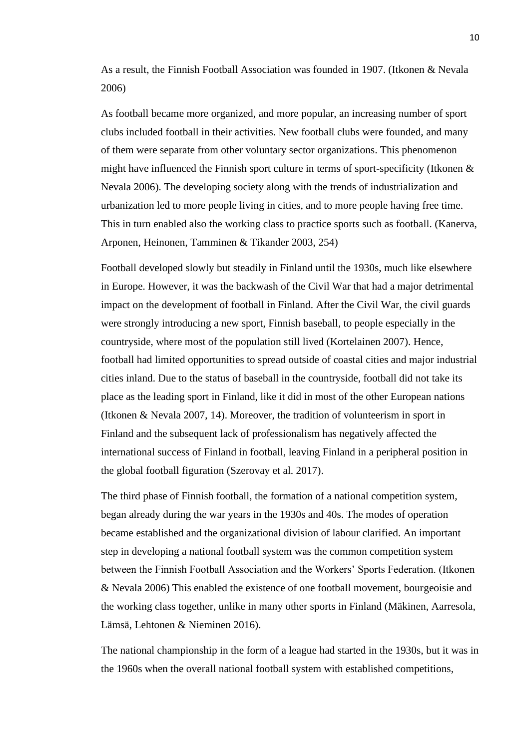As a result, the Finnish Football Association was founded in 1907. (Itkonen & Nevala 2006)

As football became more organized, and more popular, an increasing number of sport clubs included football in their activities. New football clubs were founded, and many of them were separate from other voluntary sector organizations. This phenomenon might have influenced the Finnish sport culture in terms of sport-specificity (Itkonen & Nevala 2006). The developing society along with the trends of industrialization and urbanization led to more people living in cities, and to more people having free time. This in turn enabled also the working class to practice sports such as football. (Kanerva, Arponen, Heinonen, Tamminen & Tikander 2003, 254)

Football developed slowly but steadily in Finland until the 1930s, much like elsewhere in Europe. However, it was the backwash of the Civil War that had a major detrimental impact on the development of football in Finland. After the Civil War, the civil guards were strongly introducing a new sport, Finnish baseball, to people especially in the countryside, where most of the population still lived (Kortelainen 2007). Hence, football had limited opportunities to spread outside of coastal cities and major industrial cities inland. Due to the status of baseball in the countryside, football did not take its place as the leading sport in Finland, like it did in most of the other European nations (Itkonen & Nevala 2007, 14). Moreover, the tradition of volunteerism in sport in Finland and the subsequent lack of professionalism has negatively affected the international success of Finland in football, leaving Finland in a peripheral position in the global football figuration (Szerovay et al. 2017).

The third phase of Finnish football, the formation of a national competition system, began already during the war years in the 1930s and 40s. The modes of operation became established and the organizational division of labour clarified. An important step in developing a national football system was the common competition system between the Finnish Football Association and the Workers' Sports Federation. (Itkonen & Nevala 2006) This enabled the existence of one football movement, bourgeoisie and the working class together, unlike in many other sports in Finland (Mäkinen, Aarresola, Lämsä, Lehtonen & Nieminen 2016).

The national championship in the form of a league had started in the 1930s, but it was in the 1960s when the overall national football system with established competitions,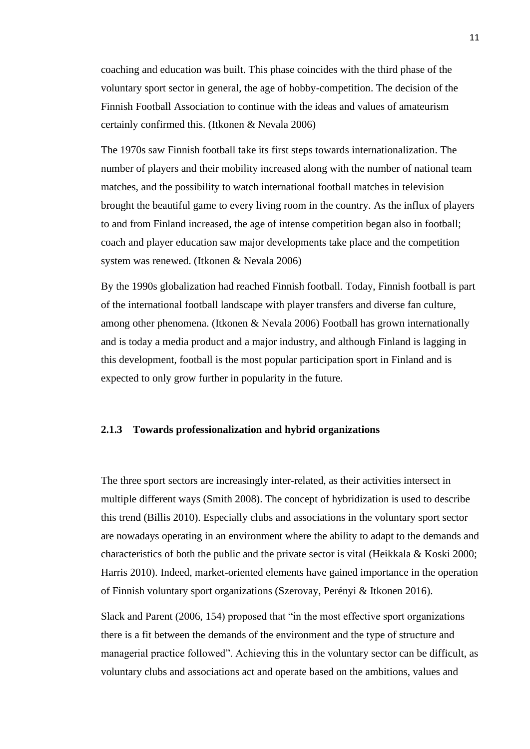coaching and education was built. This phase coincides with the third phase of the voluntary sport sector in general, the age of hobby-competition. The decision of the Finnish Football Association to continue with the ideas and values of amateurism certainly confirmed this. (Itkonen & Nevala 2006)

The 1970s saw Finnish football take its first steps towards internationalization. The number of players and their mobility increased along with the number of national team matches, and the possibility to watch international football matches in television brought the beautiful game to every living room in the country. As the influx of players to and from Finland increased, the age of intense competition began also in football; coach and player education saw major developments take place and the competition system was renewed. (Itkonen & Nevala 2006)

By the 1990s globalization had reached Finnish football. Today, Finnish football is part of the international football landscape with player transfers and diverse fan culture, among other phenomena. (Itkonen & Nevala 2006) Football has grown internationally and is today a media product and a major industry, and although Finland is lagging in this development, football is the most popular participation sport in Finland and is expected to only grow further in popularity in the future.

#### **2.1.3 Towards professionalization and hybrid organizations**

The three sport sectors are increasingly inter-related, as their activities intersect in multiple different ways (Smith 2008). The concept of hybridization is used to describe this trend (Billis 2010). Especially clubs and associations in the voluntary sport sector are nowadays operating in an environment where the ability to adapt to the demands and characteristics of both the public and the private sector is vital (Heikkala & Koski 2000; Harris 2010). Indeed, market-oriented elements have gained importance in the operation of Finnish voluntary sport organizations (Szerovay, Perényi & Itkonen 2016).

Slack and Parent (2006, 154) proposed that "in the most effective sport organizations there is a fit between the demands of the environment and the type of structure and managerial practice followed". Achieving this in the voluntary sector can be difficult, as voluntary clubs and associations act and operate based on the ambitions, values and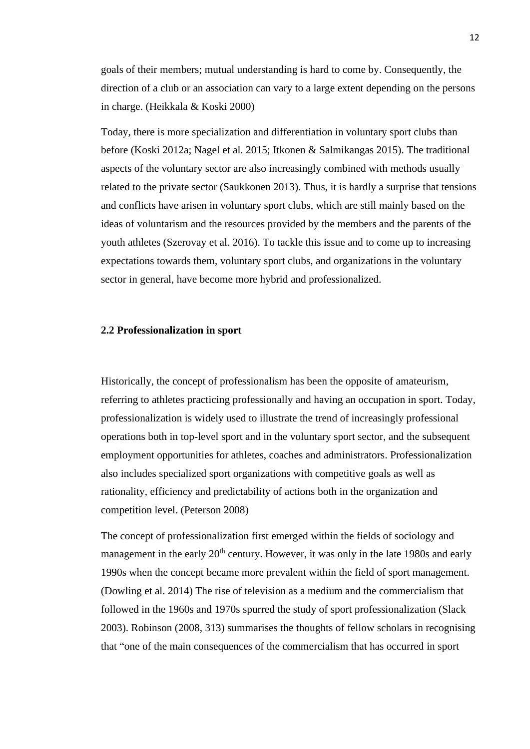goals of their members; mutual understanding is hard to come by. Consequently, the direction of a club or an association can vary to a large extent depending on the persons in charge. (Heikkala & Koski 2000)

Today, there is more specialization and differentiation in voluntary sport clubs than before (Koski 2012a; Nagel et al. 2015; Itkonen & Salmikangas 2015). The traditional aspects of the voluntary sector are also increasingly combined with methods usually related to the private sector (Saukkonen 2013). Thus, it is hardly a surprise that tensions and conflicts have arisen in voluntary sport clubs, which are still mainly based on the ideas of voluntarism and the resources provided by the members and the parents of the youth athletes (Szerovay et al. 2016). To tackle this issue and to come up to increasing expectations towards them, voluntary sport clubs, and organizations in the voluntary sector in general, have become more hybrid and professionalized.

#### **2.2 Professionalization in sport**

Historically, the concept of professionalism has been the opposite of amateurism, referring to athletes practicing professionally and having an occupation in sport. Today, professionalization is widely used to illustrate the trend of increasingly professional operations both in top-level sport and in the voluntary sport sector, and the subsequent employment opportunities for athletes, coaches and administrators. Professionalization also includes specialized sport organizations with competitive goals as well as rationality, efficiency and predictability of actions both in the organization and competition level. (Peterson 2008)

The concept of professionalization first emerged within the fields of sociology and management in the early  $20<sup>th</sup>$  century. However, it was only in the late 1980s and early 1990s when the concept became more prevalent within the field of sport management. (Dowling et al. 2014) The rise of television as a medium and the commercialism that followed in the 1960s and 1970s spurred the study of sport professionalization (Slack 2003). Robinson (2008, 313) summarises the thoughts of fellow scholars in recognising that "one of the main consequences of the commercialism that has occurred in sport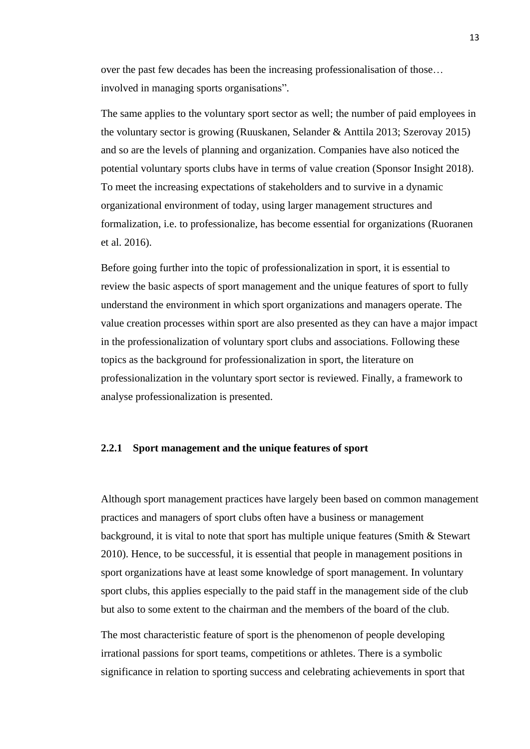over the past few decades has been the increasing professionalisation of those… involved in managing sports organisations".

The same applies to the voluntary sport sector as well; the number of paid employees in the voluntary sector is growing (Ruuskanen, Selander & Anttila 2013; Szerovay 2015) and so are the levels of planning and organization. Companies have also noticed the potential voluntary sports clubs have in terms of value creation (Sponsor Insight 2018). To meet the increasing expectations of stakeholders and to survive in a dynamic organizational environment of today, using larger management structures and formalization, i.e. to professionalize, has become essential for organizations (Ruoranen et al. 2016).

Before going further into the topic of professionalization in sport, it is essential to review the basic aspects of sport management and the unique features of sport to fully understand the environment in which sport organizations and managers operate. The value creation processes within sport are also presented as they can have a major impact in the professionalization of voluntary sport clubs and associations. Following these topics as the background for professionalization in sport, the literature on professionalization in the voluntary sport sector is reviewed. Finally, a framework to analyse professionalization is presented.

#### **2.2.1 Sport management and the unique features of sport**

Although sport management practices have largely been based on common management practices and managers of sport clubs often have a business or management background, it is vital to note that sport has multiple unique features (Smith & Stewart 2010). Hence, to be successful, it is essential that people in management positions in sport organizations have at least some knowledge of sport management. In voluntary sport clubs, this applies especially to the paid staff in the management side of the club but also to some extent to the chairman and the members of the board of the club.

The most characteristic feature of sport is the phenomenon of people developing irrational passions for sport teams, competitions or athletes. There is a symbolic significance in relation to sporting success and celebrating achievements in sport that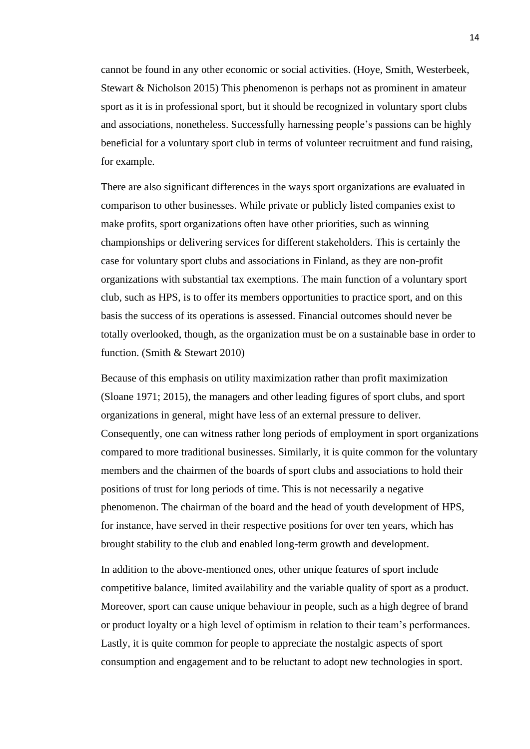cannot be found in any other economic or social activities. (Hoye, Smith, Westerbeek, Stewart & Nicholson 2015) This phenomenon is perhaps not as prominent in amateur sport as it is in professional sport, but it should be recognized in voluntary sport clubs and associations, nonetheless. Successfully harnessing people's passions can be highly beneficial for a voluntary sport club in terms of volunteer recruitment and fund raising, for example.

There are also significant differences in the ways sport organizations are evaluated in comparison to other businesses. While private or publicly listed companies exist to make profits, sport organizations often have other priorities, such as winning championships or delivering services for different stakeholders. This is certainly the case for voluntary sport clubs and associations in Finland, as they are non-profit organizations with substantial tax exemptions. The main function of a voluntary sport club, such as HPS, is to offer its members opportunities to practice sport, and on this basis the success of its operations is assessed. Financial outcomes should never be totally overlooked, though, as the organization must be on a sustainable base in order to function. (Smith & Stewart 2010)

Because of this emphasis on utility maximization rather than profit maximization (Sloane 1971; 2015), the managers and other leading figures of sport clubs, and sport organizations in general, might have less of an external pressure to deliver. Consequently, one can witness rather long periods of employment in sport organizations compared to more traditional businesses. Similarly, it is quite common for the voluntary members and the chairmen of the boards of sport clubs and associations to hold their positions of trust for long periods of time. This is not necessarily a negative phenomenon. The chairman of the board and the head of youth development of HPS, for instance, have served in their respective positions for over ten years, which has brought stability to the club and enabled long-term growth and development.

In addition to the above-mentioned ones, other unique features of sport include competitive balance, limited availability and the variable quality of sport as a product. Moreover, sport can cause unique behaviour in people, such as a high degree of brand or product loyalty or a high level of optimism in relation to their team's performances. Lastly, it is quite common for people to appreciate the nostalgic aspects of sport consumption and engagement and to be reluctant to adopt new technologies in sport.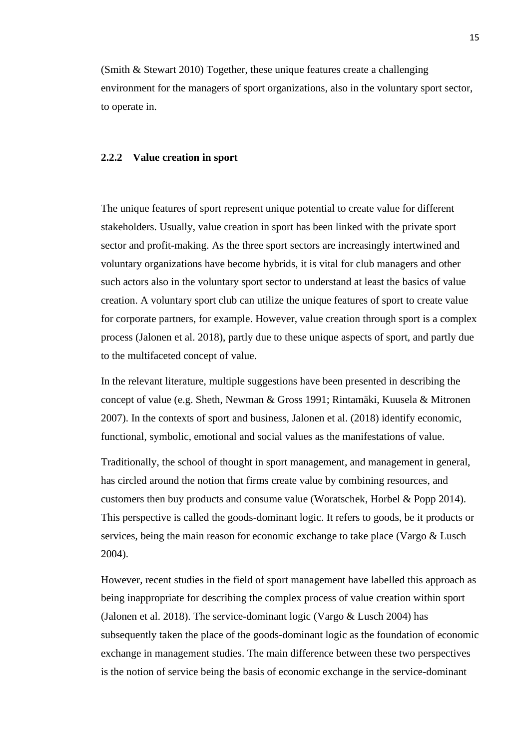(Smith & Stewart 2010) Together, these unique features create a challenging environment for the managers of sport organizations, also in the voluntary sport sector, to operate in.

#### **2.2.2 Value creation in sport**

The unique features of sport represent unique potential to create value for different stakeholders. Usually, value creation in sport has been linked with the private sport sector and profit-making. As the three sport sectors are increasingly intertwined and voluntary organizations have become hybrids, it is vital for club managers and other such actors also in the voluntary sport sector to understand at least the basics of value creation. A voluntary sport club can utilize the unique features of sport to create value for corporate partners, for example. However, value creation through sport is a complex process (Jalonen et al. 2018), partly due to these unique aspects of sport, and partly due to the multifaceted concept of value.

In the relevant literature, multiple suggestions have been presented in describing the concept of value (e.g. Sheth, Newman & Gross 1991; Rintamäki, Kuusela & Mitronen 2007). In the contexts of sport and business, Jalonen et al. (2018) identify economic, functional, symbolic, emotional and social values as the manifestations of value.

Traditionally, the school of thought in sport management, and management in general, has circled around the notion that firms create value by combining resources, and customers then buy products and consume value (Woratschek, Horbel & Popp 2014). This perspective is called the goods-dominant logic. It refers to goods, be it products or services, being the main reason for economic exchange to take place (Vargo & Lusch 2004).

However, recent studies in the field of sport management have labelled this approach as being inappropriate for describing the complex process of value creation within sport (Jalonen et al. 2018). The service-dominant logic (Vargo & Lusch 2004) has subsequently taken the place of the goods-dominant logic as the foundation of economic exchange in management studies. The main difference between these two perspectives is the notion of service being the basis of economic exchange in the service-dominant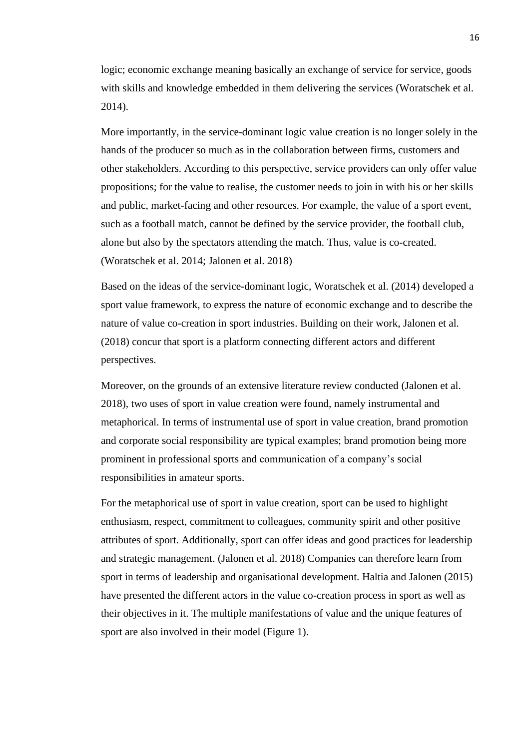logic; economic exchange meaning basically an exchange of service for service, goods with skills and knowledge embedded in them delivering the services (Woratschek et al. 2014).

More importantly, in the service-dominant logic value creation is no longer solely in the hands of the producer so much as in the collaboration between firms, customers and other stakeholders. According to this perspective, service providers can only offer value propositions; for the value to realise, the customer needs to join in with his or her skills and public, market-facing and other resources. For example, the value of a sport event, such as a football match, cannot be defined by the service provider, the football club, alone but also by the spectators attending the match. Thus, value is co-created. (Woratschek et al. 2014; Jalonen et al. 2018)

Based on the ideas of the service-dominant logic, Woratschek et al. (2014) developed a sport value framework, to express the nature of economic exchange and to describe the nature of value co-creation in sport industries. Building on their work, Jalonen et al. (2018) concur that sport is a platform connecting different actors and different perspectives.

Moreover, on the grounds of an extensive literature review conducted (Jalonen et al. 2018), two uses of sport in value creation were found, namely instrumental and metaphorical. In terms of instrumental use of sport in value creation, brand promotion and corporate social responsibility are typical examples; brand promotion being more prominent in professional sports and communication of a company's social responsibilities in amateur sports.

For the metaphorical use of sport in value creation, sport can be used to highlight enthusiasm, respect, commitment to colleagues, community spirit and other positive attributes of sport. Additionally, sport can offer ideas and good practices for leadership and strategic management. (Jalonen et al. 2018) Companies can therefore learn from sport in terms of leadership and organisational development. Haltia and Jalonen (2015) have presented the different actors in the value co-creation process in sport as well as their objectives in it. The multiple manifestations of value and the unique features of sport are also involved in their model (Figure 1).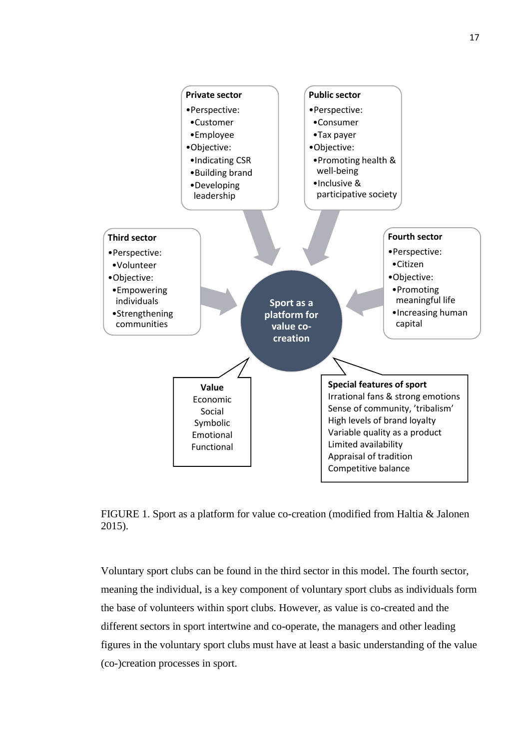

FIGURE 1. Sport as a platform for value co-creation (modified from Haltia & Jalonen 2015).

Voluntary sport clubs can be found in the third sector in this model. The fourth sector, meaning the individual, is a key component of voluntary sport clubs as individuals form the base of volunteers within sport clubs. However, as value is co-created and the different sectors in sport intertwine and co-operate, the managers and other leading figures in the voluntary sport clubs must have at least a basic understanding of the value (co-)creation processes in sport.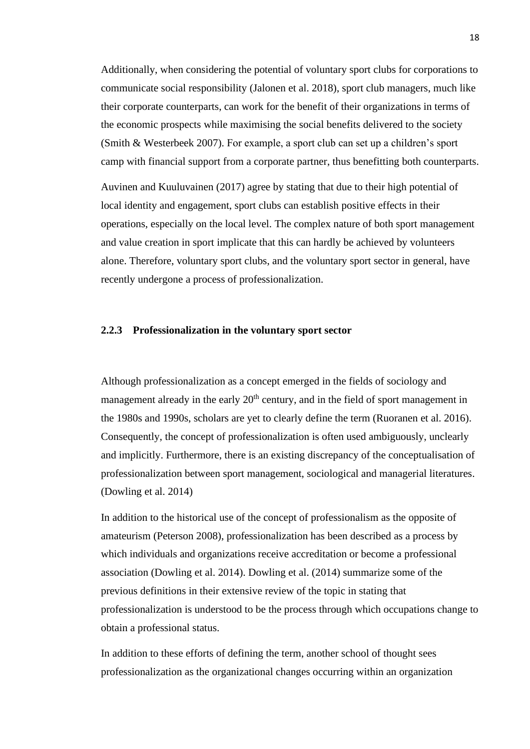Additionally, when considering the potential of voluntary sport clubs for corporations to communicate social responsibility (Jalonen et al. 2018), sport club managers, much like their corporate counterparts, can work for the benefit of their organizations in terms of the economic prospects while maximising the social benefits delivered to the society (Smith & Westerbeek 2007). For example, a sport club can set up a children's sport camp with financial support from a corporate partner, thus benefitting both counterparts.

Auvinen and Kuuluvainen (2017) agree by stating that due to their high potential of local identity and engagement, sport clubs can establish positive effects in their operations, especially on the local level. The complex nature of both sport management and value creation in sport implicate that this can hardly be achieved by volunteers alone. Therefore, voluntary sport clubs, and the voluntary sport sector in general, have recently undergone a process of professionalization.

## **2.2.3 Professionalization in the voluntary sport sector**

Although professionalization as a concept emerged in the fields of sociology and management already in the early  $20<sup>th</sup>$  century, and in the field of sport management in the 1980s and 1990s, scholars are yet to clearly define the term (Ruoranen et al. 2016). Consequently, the concept of professionalization is often used ambiguously, unclearly and implicitly. Furthermore, there is an existing discrepancy of the conceptualisation of professionalization between sport management, sociological and managerial literatures. (Dowling et al. 2014)

In addition to the historical use of the concept of professionalism as the opposite of amateurism (Peterson 2008), professionalization has been described as a process by which individuals and organizations receive accreditation or become a professional association (Dowling et al. 2014). Dowling et al. (2014) summarize some of the previous definitions in their extensive review of the topic in stating that professionalization is understood to be the process through which occupations change to obtain a professional status.

In addition to these efforts of defining the term, another school of thought sees professionalization as the organizational changes occurring within an organization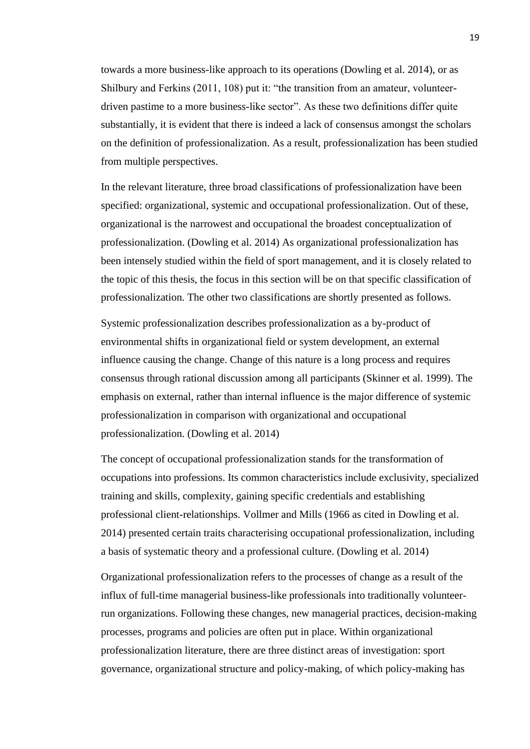towards a more business-like approach to its operations (Dowling et al. 2014), or as Shilbury and Ferkins (2011, 108) put it: "the transition from an amateur, volunteerdriven pastime to a more business-like sector". As these two definitions differ quite substantially, it is evident that there is indeed a lack of consensus amongst the scholars on the definition of professionalization. As a result, professionalization has been studied from multiple perspectives.

In the relevant literature, three broad classifications of professionalization have been specified: organizational, systemic and occupational professionalization. Out of these, organizational is the narrowest and occupational the broadest conceptualization of professionalization. (Dowling et al. 2014) As organizational professionalization has been intensely studied within the field of sport management, and it is closely related to the topic of this thesis, the focus in this section will be on that specific classification of professionalization. The other two classifications are shortly presented as follows.

Systemic professionalization describes professionalization as a by-product of environmental shifts in organizational field or system development, an external influence causing the change. Change of this nature is a long process and requires consensus through rational discussion among all participants (Skinner et al. 1999). The emphasis on external, rather than internal influence is the major difference of systemic professionalization in comparison with organizational and occupational professionalization. (Dowling et al. 2014)

The concept of occupational professionalization stands for the transformation of occupations into professions. Its common characteristics include exclusivity, specialized training and skills, complexity, gaining specific credentials and establishing professional client-relationships. Vollmer and Mills (1966 as cited in Dowling et al. 2014) presented certain traits characterising occupational professionalization, including a basis of systematic theory and a professional culture. (Dowling et al. 2014)

Organizational professionalization refers to the processes of change as a result of the influx of full-time managerial business-like professionals into traditionally volunteerrun organizations. Following these changes, new managerial practices, decision-making processes, programs and policies are often put in place. Within organizational professionalization literature, there are three distinct areas of investigation: sport governance, organizational structure and policy-making, of which policy-making has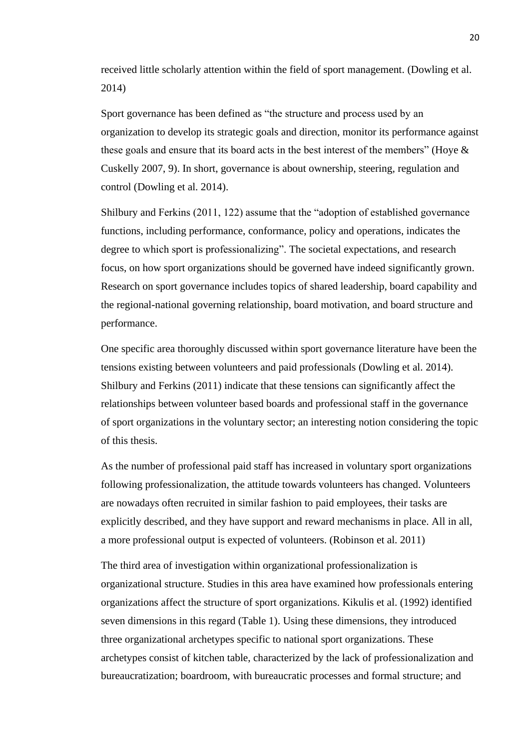received little scholarly attention within the field of sport management. (Dowling et al. 2014)

Sport governance has been defined as "the structure and process used by an organization to develop its strategic goals and direction, monitor its performance against these goals and ensure that its board acts in the best interest of the members" (Hoye & Cuskelly 2007, 9). In short, governance is about ownership, steering, regulation and control (Dowling et al. 2014).

Shilbury and Ferkins (2011, 122) assume that the "adoption of established governance functions, including performance, conformance, policy and operations, indicates the degree to which sport is professionalizing". The societal expectations, and research focus, on how sport organizations should be governed have indeed significantly grown. Research on sport governance includes topics of shared leadership, board capability and the regional-national governing relationship, board motivation, and board structure and performance.

One specific area thoroughly discussed within sport governance literature have been the tensions existing between volunteers and paid professionals (Dowling et al. 2014). Shilbury and Ferkins (2011) indicate that these tensions can significantly affect the relationships between volunteer based boards and professional staff in the governance of sport organizations in the voluntary sector; an interesting notion considering the topic of this thesis.

As the number of professional paid staff has increased in voluntary sport organizations following professionalization, the attitude towards volunteers has changed. Volunteers are nowadays often recruited in similar fashion to paid employees, their tasks are explicitly described, and they have support and reward mechanisms in place. All in all, a more professional output is expected of volunteers. (Robinson et al. 2011)

The third area of investigation within organizational professionalization is organizational structure. Studies in this area have examined how professionals entering organizations affect the structure of sport organizations. Kikulis et al. (1992) identified seven dimensions in this regard (Table 1). Using these dimensions, they introduced three organizational archetypes specific to national sport organizations. These archetypes consist of kitchen table, characterized by the lack of professionalization and bureaucratization; boardroom, with bureaucratic processes and formal structure; and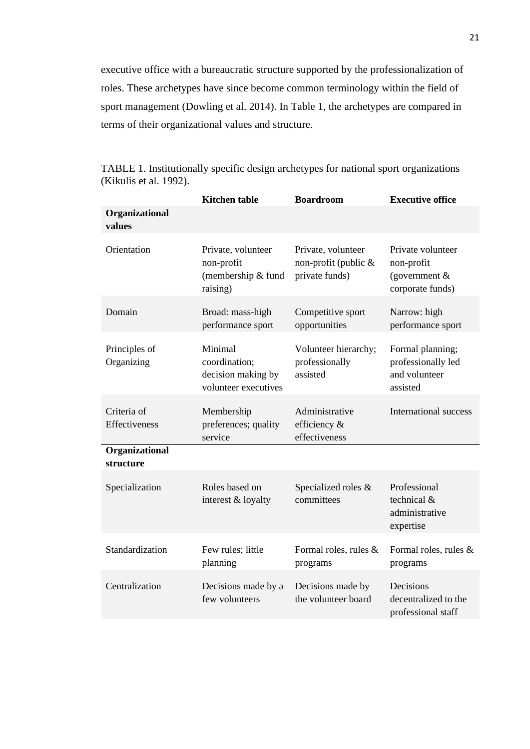executive office with a bureaucratic structure supported by the professionalization of roles. These archetypes have since become common terminology within the field of sport management (Dowling et al. 2014). In Table 1, the archetypes are compared in terms of their organizational values and structure.

|                              | <b>Kitchen</b> table                                                   | <b>Boardroom</b>                                               | <b>Executive office</b>                                                |
|------------------------------|------------------------------------------------------------------------|----------------------------------------------------------------|------------------------------------------------------------------------|
| Organizational<br>values     |                                                                        |                                                                |                                                                        |
| Orientation                  | Private, volunteer<br>non-profit<br>(membership & fund<br>raising)     | Private, volunteer<br>non-profit (public $&$<br>private funds) | Private volunteer<br>non-profit<br>(government $&$<br>corporate funds) |
| Domain                       | Broad: mass-high<br>performance sport                                  | Competitive sport<br>opportunities                             | Narrow: high<br>performance sport                                      |
| Principles of<br>Organizing  | Minimal<br>coordination;<br>decision making by<br>volunteer executives | Volunteer hierarchy;<br>professionally<br>assisted             | Formal planning;<br>professionally led<br>and volunteer<br>assisted    |
| Criteria of<br>Effectiveness | Membership<br>preferences; quality<br>service                          | Administrative<br>efficiency &<br>effectiveness                | International success                                                  |
| Organizational<br>structure  |                                                                        |                                                                |                                                                        |
| Specialization               | Roles based on<br>interest & loyalty                                   | Specialized roles &<br>committees                              | Professional<br>technical &<br>administrative<br>expertise             |
| Standardization              | Few rules; little<br>planning                                          | Formal roles, rules &<br>programs                              | Formal roles, rules &<br>programs                                      |
| Centralization               | Decisions made by a<br>few volunteers                                  | Decisions made by<br>the volunteer board                       | Decisions<br>decentralized to the<br>professional staff                |

TABLE 1. Institutionally specific design archetypes for national sport organizations (Kikulis et al. 1992).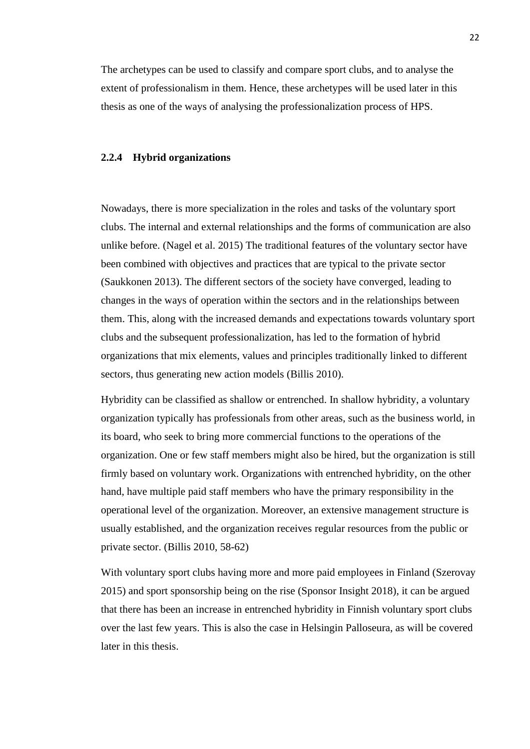The archetypes can be used to classify and compare sport clubs, and to analyse the extent of professionalism in them. Hence, these archetypes will be used later in this thesis as one of the ways of analysing the professionalization process of HPS.

#### **2.2.4 Hybrid organizations**

Nowadays, there is more specialization in the roles and tasks of the voluntary sport clubs. The internal and external relationships and the forms of communication are also unlike before. (Nagel et al. 2015) The traditional features of the voluntary sector have been combined with objectives and practices that are typical to the private sector (Saukkonen 2013). The different sectors of the society have converged, leading to changes in the ways of operation within the sectors and in the relationships between them. This, along with the increased demands and expectations towards voluntary sport clubs and the subsequent professionalization, has led to the formation of hybrid organizations that mix elements, values and principles traditionally linked to different sectors, thus generating new action models (Billis 2010).

Hybridity can be classified as shallow or entrenched. In shallow hybridity, a voluntary organization typically has professionals from other areas, such as the business world, in its board, who seek to bring more commercial functions to the operations of the organization. One or few staff members might also be hired, but the organization is still firmly based on voluntary work. Organizations with entrenched hybridity, on the other hand, have multiple paid staff members who have the primary responsibility in the operational level of the organization. Moreover, an extensive management structure is usually established, and the organization receives regular resources from the public or private sector. (Billis 2010, 58-62)

With voluntary sport clubs having more and more paid employees in Finland (Szerovay 2015) and sport sponsorship being on the rise (Sponsor Insight 2018), it can be argued that there has been an increase in entrenched hybridity in Finnish voluntary sport clubs over the last few years. This is also the case in Helsingin Palloseura, as will be covered later in this thesis.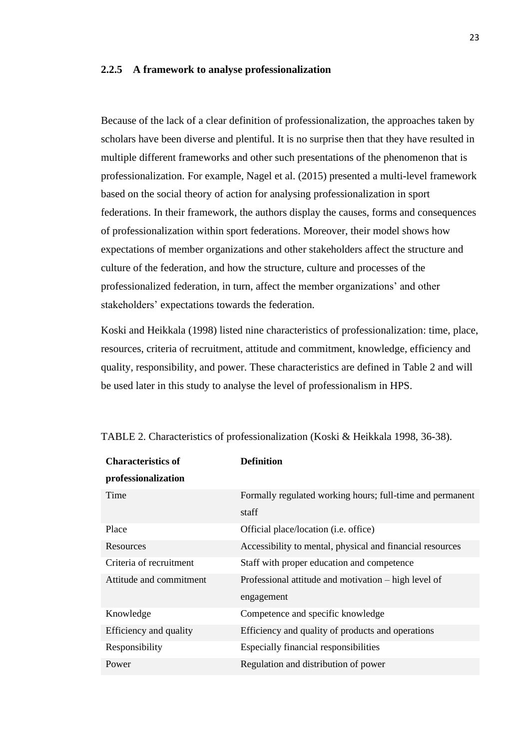#### **2.2.5 A framework to analyse professionalization**

Because of the lack of a clear definition of professionalization, the approaches taken by scholars have been diverse and plentiful. It is no surprise then that they have resulted in multiple different frameworks and other such presentations of the phenomenon that is professionalization. For example, Nagel et al. (2015) presented a multi-level framework based on the social theory of action for analysing professionalization in sport federations. In their framework, the authors display the causes, forms and consequences of professionalization within sport federations. Moreover, their model shows how expectations of member organizations and other stakeholders affect the structure and culture of the federation, and how the structure, culture and processes of the professionalized federation, in turn, affect the member organizations' and other stakeholders' expectations towards the federation.

Koski and Heikkala (1998) listed nine characteristics of professionalization: time, place, resources, criteria of recruitment, attitude and commitment, knowledge, efficiency and quality, responsibility, and power. These characteristics are defined in Table 2 and will be used later in this study to analyse the level of professionalism in HPS.

| <b>Characteristics of</b> | <b>Definition</b>                                         |
|---------------------------|-----------------------------------------------------------|
| professionalization       |                                                           |
| Time                      | Formally regulated working hours; full-time and permanent |
|                           | staff                                                     |
| Place                     | Official place/location (i.e. office)                     |
| Resources                 | Accessibility to mental, physical and financial resources |
| Criteria of recruitment   | Staff with proper education and competence                |
| Attitude and commitment   | Professional attitude and motivation – high level of      |
|                           | engagement                                                |
| Knowledge                 | Competence and specific knowledge                         |
| Efficiency and quality    | Efficiency and quality of products and operations         |
| Responsibility            | Especially financial responsibilities                     |
| Power                     | Regulation and distribution of power                      |

| TABLE 2. Characteristics of professionalization (Koski & Heikkala 1998, 36-38). |  |  |  |
|---------------------------------------------------------------------------------|--|--|--|
|---------------------------------------------------------------------------------|--|--|--|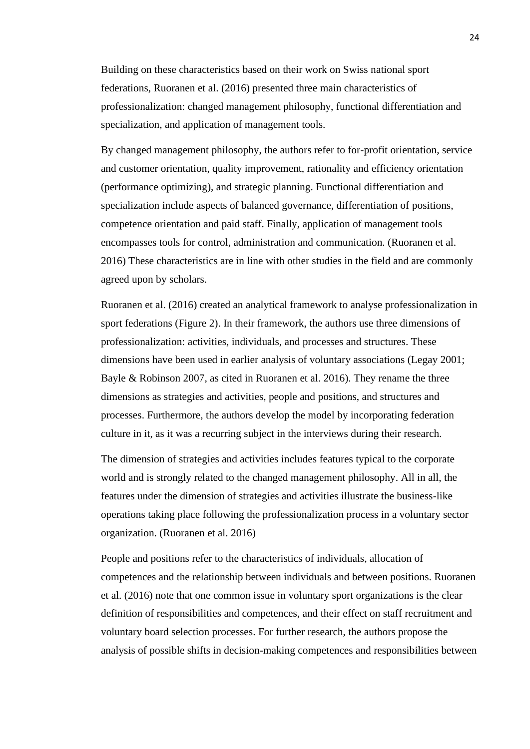Building on these characteristics based on their work on Swiss national sport federations, Ruoranen et al. (2016) presented three main characteristics of professionalization: changed management philosophy, functional differentiation and specialization, and application of management tools.

By changed management philosophy, the authors refer to for-profit orientation, service and customer orientation, quality improvement, rationality and efficiency orientation (performance optimizing), and strategic planning. Functional differentiation and specialization include aspects of balanced governance, differentiation of positions, competence orientation and paid staff. Finally, application of management tools encompasses tools for control, administration and communication. (Ruoranen et al. 2016) These characteristics are in line with other studies in the field and are commonly agreed upon by scholars.

Ruoranen et al. (2016) created an analytical framework to analyse professionalization in sport federations (Figure 2). In their framework, the authors use three dimensions of professionalization: activities, individuals, and processes and structures. These dimensions have been used in earlier analysis of voluntary associations (Legay 2001; Bayle & Robinson 2007, as cited in Ruoranen et al. 2016). They rename the three dimensions as strategies and activities, people and positions, and structures and processes. Furthermore, the authors develop the model by incorporating federation culture in it, as it was a recurring subject in the interviews during their research.

The dimension of strategies and activities includes features typical to the corporate world and is strongly related to the changed management philosophy. All in all, the features under the dimension of strategies and activities illustrate the business-like operations taking place following the professionalization process in a voluntary sector organization. (Ruoranen et al. 2016)

People and positions refer to the characteristics of individuals, allocation of competences and the relationship between individuals and between positions. Ruoranen et al. (2016) note that one common issue in voluntary sport organizations is the clear definition of responsibilities and competences, and their effect on staff recruitment and voluntary board selection processes. For further research, the authors propose the analysis of possible shifts in decision-making competences and responsibilities between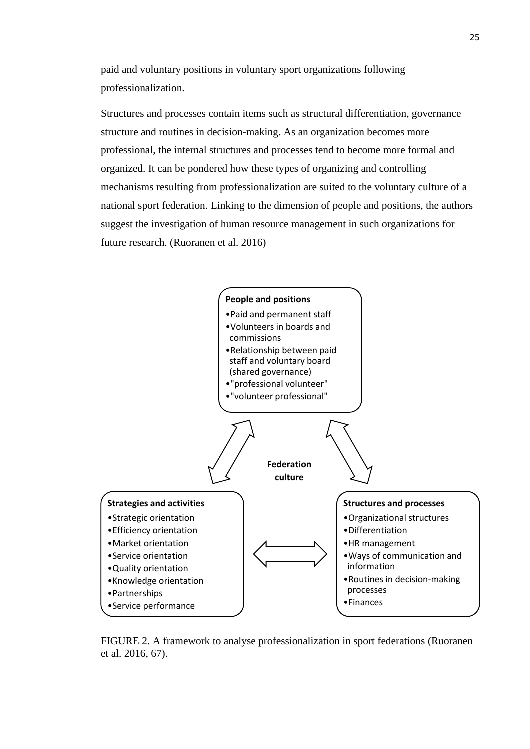paid and voluntary positions in voluntary sport organizations following professionalization.

Structures and processes contain items such as structural differentiation, governance structure and routines in decision-making. As an organization becomes more professional, the internal structures and processes tend to become more formal and organized. It can be pondered how these types of organizing and controlling mechanisms resulting from professionalization are suited to the voluntary culture of a national sport federation. Linking to the dimension of people and positions, the authors suggest the investigation of human resource management in such organizations for future research. (Ruoranen et al. 2016)



FIGURE 2. A framework to analyse professionalization in sport federations (Ruoranen et al. 2016, 67).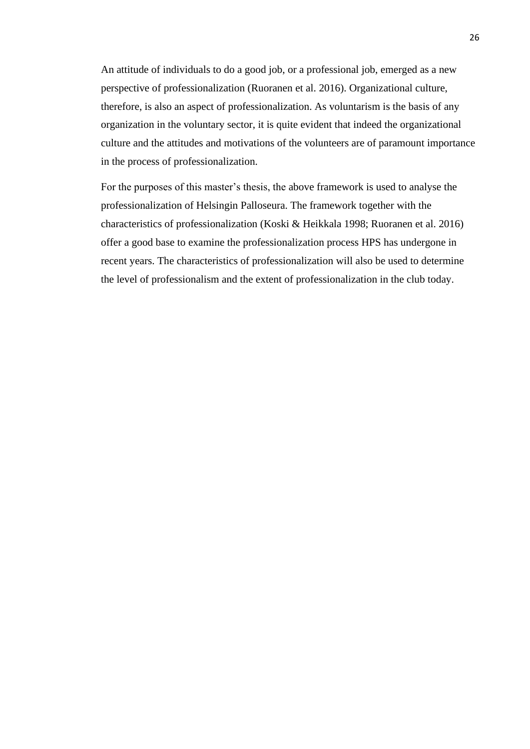An attitude of individuals to do a good job, or a professional job, emerged as a new perspective of professionalization (Ruoranen et al. 2016). Organizational culture, therefore, is also an aspect of professionalization. As voluntarism is the basis of any organization in the voluntary sector, it is quite evident that indeed the organizational culture and the attitudes and motivations of the volunteers are of paramount importance in the process of professionalization.

For the purposes of this master's thesis, the above framework is used to analyse the professionalization of Helsingin Palloseura. The framework together with the characteristics of professionalization (Koski & Heikkala 1998; Ruoranen et al. 2016) offer a good base to examine the professionalization process HPS has undergone in recent years. The characteristics of professionalization will also be used to determine the level of professionalism and the extent of professionalization in the club today.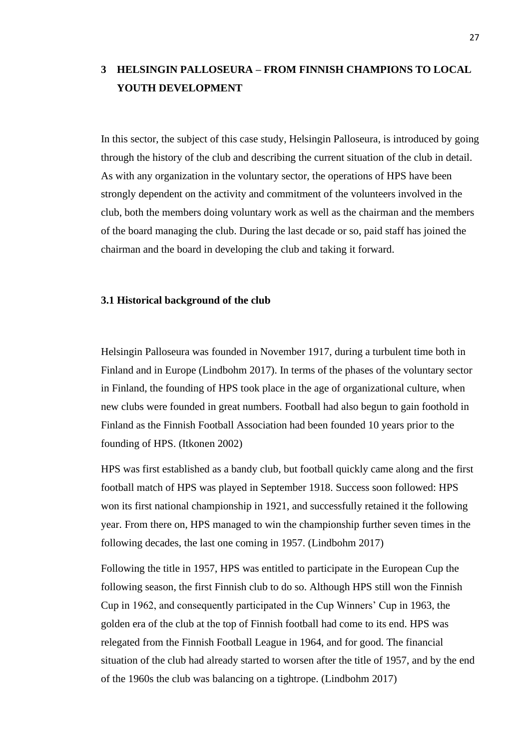# **3 HELSINGIN PALLOSEURA – FROM FINNISH CHAMPIONS TO LOCAL YOUTH DEVELOPMENT**

In this sector, the subject of this case study, Helsingin Palloseura, is introduced by going through the history of the club and describing the current situation of the club in detail. As with any organization in the voluntary sector, the operations of HPS have been strongly dependent on the activity and commitment of the volunteers involved in the club, both the members doing voluntary work as well as the chairman and the members of the board managing the club. During the last decade or so, paid staff has joined the chairman and the board in developing the club and taking it forward.

## **3.1 Historical background of the club**

Helsingin Palloseura was founded in November 1917, during a turbulent time both in Finland and in Europe (Lindbohm 2017). In terms of the phases of the voluntary sector in Finland, the founding of HPS took place in the age of organizational culture, when new clubs were founded in great numbers. Football had also begun to gain foothold in Finland as the Finnish Football Association had been founded 10 years prior to the founding of HPS. (Itkonen 2002)

HPS was first established as a bandy club, but football quickly came along and the first football match of HPS was played in September 1918. Success soon followed: HPS won its first national championship in 1921, and successfully retained it the following year. From there on, HPS managed to win the championship further seven times in the following decades, the last one coming in 1957. (Lindbohm 2017)

Following the title in 1957, HPS was entitled to participate in the European Cup the following season, the first Finnish club to do so. Although HPS still won the Finnish Cup in 1962, and consequently participated in the Cup Winners' Cup in 1963, the golden era of the club at the top of Finnish football had come to its end. HPS was relegated from the Finnish Football League in 1964, and for good. The financial situation of the club had already started to worsen after the title of 1957, and by the end of the 1960s the club was balancing on a tightrope. (Lindbohm 2017)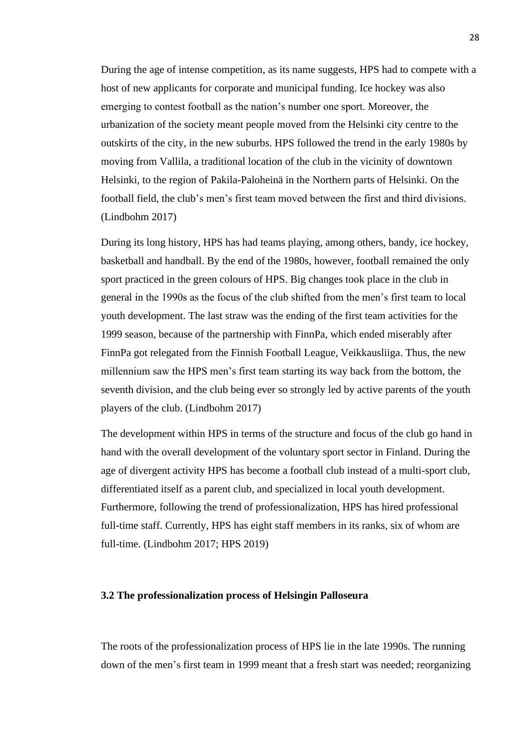During the age of intense competition, as its name suggests, HPS had to compete with a host of new applicants for corporate and municipal funding. Ice hockey was also emerging to contest football as the nation's number one sport. Moreover, the urbanization of the society meant people moved from the Helsinki city centre to the outskirts of the city, in the new suburbs. HPS followed the trend in the early 1980s by moving from Vallila, a traditional location of the club in the vicinity of downtown Helsinki, to the region of Pakila-Paloheinä in the Northern parts of Helsinki. On the football field, the club's men's first team moved between the first and third divisions. (Lindbohm 2017)

During its long history, HPS has had teams playing, among others, bandy, ice hockey, basketball and handball. By the end of the 1980s, however, football remained the only sport practiced in the green colours of HPS. Big changes took place in the club in general in the 1990s as the focus of the club shifted from the men's first team to local youth development. The last straw was the ending of the first team activities for the 1999 season, because of the partnership with FinnPa, which ended miserably after FinnPa got relegated from the Finnish Football League, Veikkausliiga. Thus, the new millennium saw the HPS men's first team starting its way back from the bottom, the seventh division, and the club being ever so strongly led by active parents of the youth players of the club. (Lindbohm 2017)

The development within HPS in terms of the structure and focus of the club go hand in hand with the overall development of the voluntary sport sector in Finland. During the age of divergent activity HPS has become a football club instead of a multi-sport club, differentiated itself as a parent club, and specialized in local youth development. Furthermore, following the trend of professionalization, HPS has hired professional full-time staff. Currently, HPS has eight staff members in its ranks, six of whom are full-time. (Lindbohm 2017; HPS 2019)

#### **3.2 The professionalization process of Helsingin Palloseura**

The roots of the professionalization process of HPS lie in the late 1990s. The running down of the men's first team in 1999 meant that a fresh start was needed; reorganizing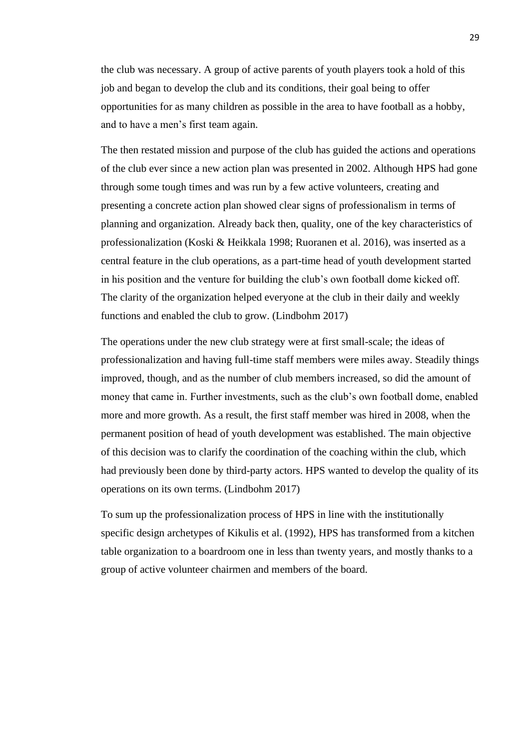the club was necessary. A group of active parents of youth players took a hold of this job and began to develop the club and its conditions, their goal being to offer opportunities for as many children as possible in the area to have football as a hobby, and to have a men's first team again.

The then restated mission and purpose of the club has guided the actions and operations of the club ever since a new action plan was presented in 2002. Although HPS had gone through some tough times and was run by a few active volunteers, creating and presenting a concrete action plan showed clear signs of professionalism in terms of planning and organization. Already back then, quality, one of the key characteristics of professionalization (Koski & Heikkala 1998; Ruoranen et al. 2016), was inserted as a central feature in the club operations, as a part-time head of youth development started in his position and the venture for building the club's own football dome kicked off. The clarity of the organization helped everyone at the club in their daily and weekly functions and enabled the club to grow. (Lindbohm 2017)

The operations under the new club strategy were at first small-scale; the ideas of professionalization and having full-time staff members were miles away. Steadily things improved, though, and as the number of club members increased, so did the amount of money that came in. Further investments, such as the club's own football dome, enabled more and more growth. As a result, the first staff member was hired in 2008, when the permanent position of head of youth development was established. The main objective of this decision was to clarify the coordination of the coaching within the club, which had previously been done by third-party actors. HPS wanted to develop the quality of its operations on its own terms. (Lindbohm 2017)

To sum up the professionalization process of HPS in line with the institutionally specific design archetypes of Kikulis et al. (1992), HPS has transformed from a kitchen table organization to a boardroom one in less than twenty years, and mostly thanks to a group of active volunteer chairmen and members of the board.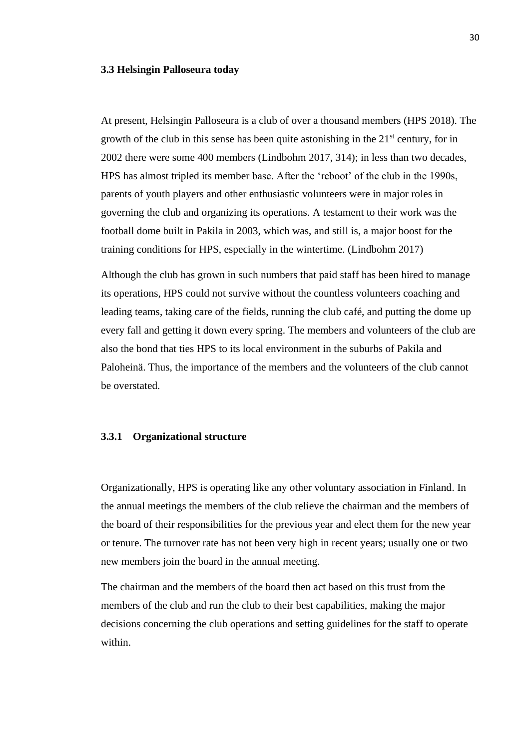#### **3.3 Helsingin Palloseura today**

At present, Helsingin Palloseura is a club of over a thousand members (HPS 2018). The growth of the club in this sense has been quite astonishing in the  $21<sup>st</sup>$  century, for in 2002 there were some 400 members (Lindbohm 2017, 314); in less than two decades, HPS has almost tripled its member base. After the 'reboot' of the club in the 1990s, parents of youth players and other enthusiastic volunteers were in major roles in governing the club and organizing its operations. A testament to their work was the football dome built in Pakila in 2003, which was, and still is, a major boost for the training conditions for HPS, especially in the wintertime. (Lindbohm 2017)

Although the club has grown in such numbers that paid staff has been hired to manage its operations, HPS could not survive without the countless volunteers coaching and leading teams, taking care of the fields, running the club café, and putting the dome up every fall and getting it down every spring. The members and volunteers of the club are also the bond that ties HPS to its local environment in the suburbs of Pakila and Paloheinä. Thus, the importance of the members and the volunteers of the club cannot be overstated.

## **3.3.1 Organizational structure**

Organizationally, HPS is operating like any other voluntary association in Finland. In the annual meetings the members of the club relieve the chairman and the members of the board of their responsibilities for the previous year and elect them for the new year or tenure. The turnover rate has not been very high in recent years; usually one or two new members join the board in the annual meeting.

The chairman and the members of the board then act based on this trust from the members of the club and run the club to their best capabilities, making the major decisions concerning the club operations and setting guidelines for the staff to operate within.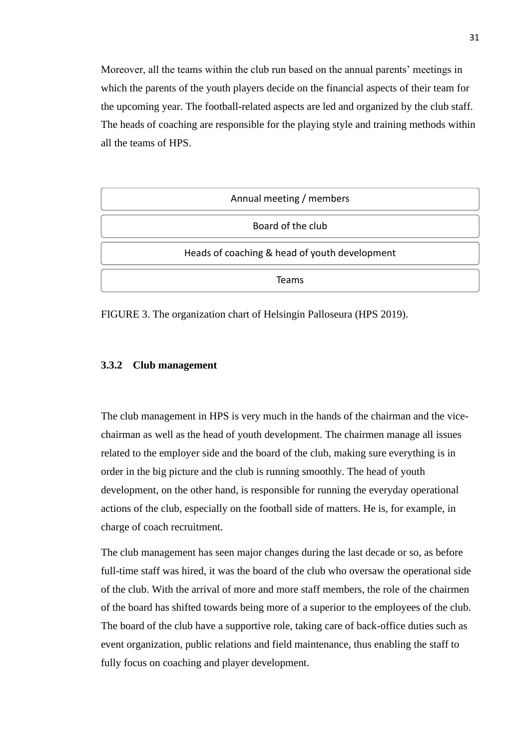Moreover, all the teams within the club run based on the annual parents' meetings in which the parents of the youth players decide on the financial aspects of their team for the upcoming year. The football-related aspects are led and organized by the club staff. The heads of coaching are responsible for the playing style and training methods within all the teams of HPS.

| Annual meeting / members                      |
|-----------------------------------------------|
| Board of the club                             |
| Heads of coaching & head of youth development |
| <b>Teams</b>                                  |

FIGURE 3. The organization chart of Helsingin Palloseura (HPS 2019).

## **3.3.2 Club management**

The club management in HPS is very much in the hands of the chairman and the vicechairman as well as the head of youth development. The chairmen manage all issues related to the employer side and the board of the club, making sure everything is in order in the big picture and the club is running smoothly. The head of youth development, on the other hand, is responsible for running the everyday operational actions of the club, especially on the football side of matters. He is, for example, in charge of coach recruitment.

The club management has seen major changes during the last decade or so, as before full-time staff was hired, it was the board of the club who oversaw the operational side of the club. With the arrival of more and more staff members, the role of the chairmen of the board has shifted towards being more of a superior to the employees of the club. The board of the club have a supportive role, taking care of back-office duties such as event organization, public relations and field maintenance, thus enabling the staff to fully focus on coaching and player development.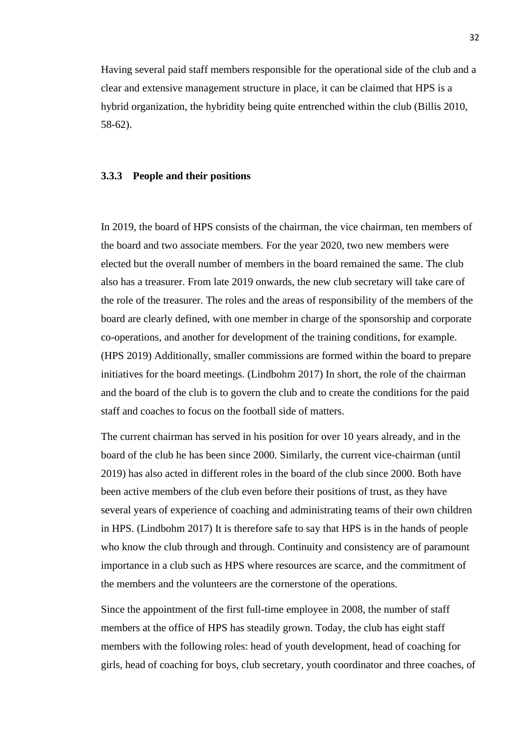Having several paid staff members responsible for the operational side of the club and a clear and extensive management structure in place, it can be claimed that HPS is a hybrid organization, the hybridity being quite entrenched within the club (Billis 2010, 58-62).

## **3.3.3 People and their positions**

In 2019, the board of HPS consists of the chairman, the vice chairman, ten members of the board and two associate members. For the year 2020, two new members were elected but the overall number of members in the board remained the same. The club also has a treasurer. From late 2019 onwards, the new club secretary will take care of the role of the treasurer. The roles and the areas of responsibility of the members of the board are clearly defined, with one member in charge of the sponsorship and corporate co-operations, and another for development of the training conditions, for example. (HPS 2019) Additionally, smaller commissions are formed within the board to prepare initiatives for the board meetings. (Lindbohm 2017) In short, the role of the chairman and the board of the club is to govern the club and to create the conditions for the paid staff and coaches to focus on the football side of matters.

The current chairman has served in his position for over 10 years already, and in the board of the club he has been since 2000. Similarly, the current vice-chairman (until 2019) has also acted in different roles in the board of the club since 2000. Both have been active members of the club even before their positions of trust, as they have several years of experience of coaching and administrating teams of their own children in HPS. (Lindbohm 2017) It is therefore safe to say that HPS is in the hands of people who know the club through and through. Continuity and consistency are of paramount importance in a club such as HPS where resources are scarce, and the commitment of the members and the volunteers are the cornerstone of the operations.

Since the appointment of the first full-time employee in 2008, the number of staff members at the office of HPS has steadily grown. Today, the club has eight staff members with the following roles: head of youth development, head of coaching for girls, head of coaching for boys, club secretary, youth coordinator and three coaches, of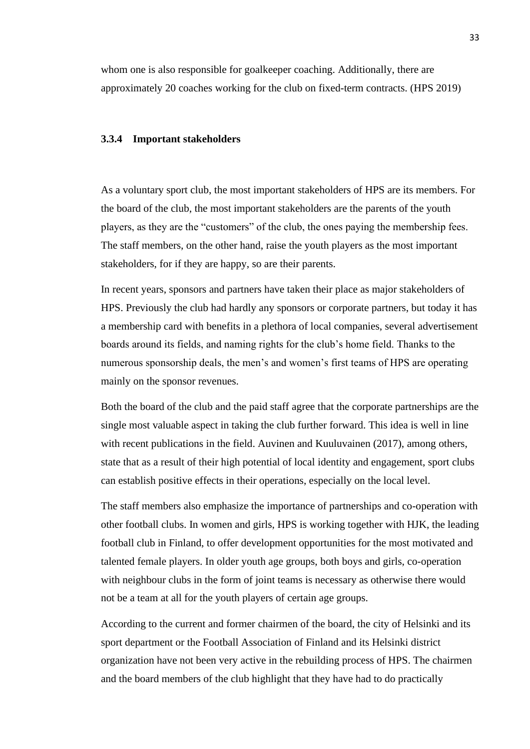whom one is also responsible for goalkeeper coaching. Additionally, there are approximately 20 coaches working for the club on fixed-term contracts. (HPS 2019)

#### **3.3.4 Important stakeholders**

As a voluntary sport club, the most important stakeholders of HPS are its members. For the board of the club, the most important stakeholders are the parents of the youth players, as they are the "customers" of the club, the ones paying the membership fees. The staff members, on the other hand, raise the youth players as the most important stakeholders, for if they are happy, so are their parents.

In recent years, sponsors and partners have taken their place as major stakeholders of HPS. Previously the club had hardly any sponsors or corporate partners, but today it has a membership card with benefits in a plethora of local companies, several advertisement boards around its fields, and naming rights for the club's home field. Thanks to the numerous sponsorship deals, the men's and women's first teams of HPS are operating mainly on the sponsor revenues.

Both the board of the club and the paid staff agree that the corporate partnerships are the single most valuable aspect in taking the club further forward. This idea is well in line with recent publications in the field. Auvinen and Kuuluvainen (2017), among others, state that as a result of their high potential of local identity and engagement, sport clubs can establish positive effects in their operations, especially on the local level.

The staff members also emphasize the importance of partnerships and co-operation with other football clubs. In women and girls, HPS is working together with HJK, the leading football club in Finland, to offer development opportunities for the most motivated and talented female players. In older youth age groups, both boys and girls, co-operation with neighbour clubs in the form of joint teams is necessary as otherwise there would not be a team at all for the youth players of certain age groups.

According to the current and former chairmen of the board, the city of Helsinki and its sport department or the Football Association of Finland and its Helsinki district organization have not been very active in the rebuilding process of HPS. The chairmen and the board members of the club highlight that they have had to do practically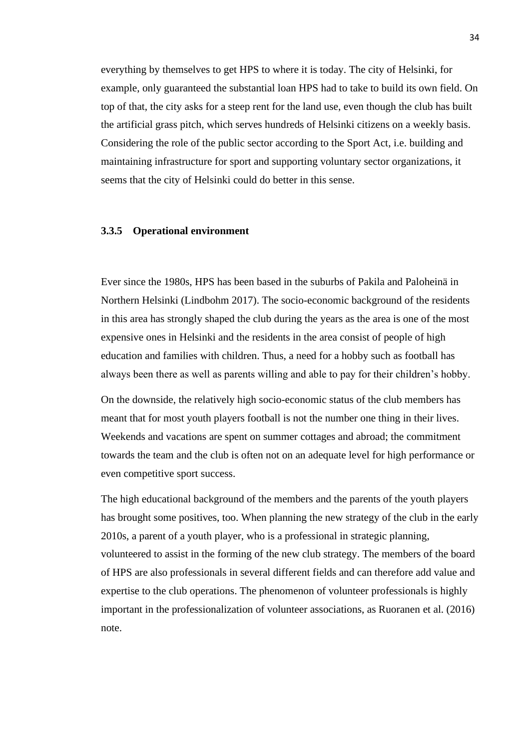everything by themselves to get HPS to where it is today. The city of Helsinki, for example, only guaranteed the substantial loan HPS had to take to build its own field. On top of that, the city asks for a steep rent for the land use, even though the club has built the artificial grass pitch, which serves hundreds of Helsinki citizens on a weekly basis. Considering the role of the public sector according to the Sport Act, i.e. building and maintaining infrastructure for sport and supporting voluntary sector organizations, it seems that the city of Helsinki could do better in this sense.

### **3.3.5 Operational environment**

Ever since the 1980s, HPS has been based in the suburbs of Pakila and Paloheinä in Northern Helsinki (Lindbohm 2017). The socio-economic background of the residents in this area has strongly shaped the club during the years as the area is one of the most expensive ones in Helsinki and the residents in the area consist of people of high education and families with children. Thus, a need for a hobby such as football has always been there as well as parents willing and able to pay for their children's hobby.

On the downside, the relatively high socio-economic status of the club members has meant that for most youth players football is not the number one thing in their lives. Weekends and vacations are spent on summer cottages and abroad; the commitment towards the team and the club is often not on an adequate level for high performance or even competitive sport success.

The high educational background of the members and the parents of the youth players has brought some positives, too. When planning the new strategy of the club in the early 2010s, a parent of a youth player, who is a professional in strategic planning, volunteered to assist in the forming of the new club strategy. The members of the board of HPS are also professionals in several different fields and can therefore add value and expertise to the club operations. The phenomenon of volunteer professionals is highly important in the professionalization of volunteer associations, as Ruoranen et al. (2016) note.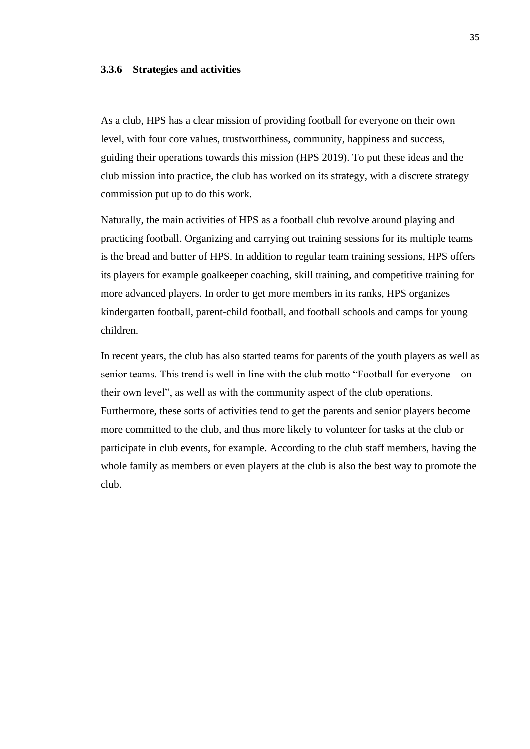### **3.3.6 Strategies and activities**

As a club, HPS has a clear mission of providing football for everyone on their own level, with four core values, trustworthiness, community, happiness and success, guiding their operations towards this mission (HPS 2019). To put these ideas and the club mission into practice, the club has worked on its strategy, with a discrete strategy commission put up to do this work.

Naturally, the main activities of HPS as a football club revolve around playing and practicing football. Organizing and carrying out training sessions for its multiple teams is the bread and butter of HPS. In addition to regular team training sessions, HPS offers its players for example goalkeeper coaching, skill training, and competitive training for more advanced players. In order to get more members in its ranks, HPS organizes kindergarten football, parent-child football, and football schools and camps for young children.

In recent years, the club has also started teams for parents of the youth players as well as senior teams. This trend is well in line with the club motto "Football for everyone – on their own level", as well as with the community aspect of the club operations. Furthermore, these sorts of activities tend to get the parents and senior players become more committed to the club, and thus more likely to volunteer for tasks at the club or participate in club events, for example. According to the club staff members, having the whole family as members or even players at the club is also the best way to promote the club.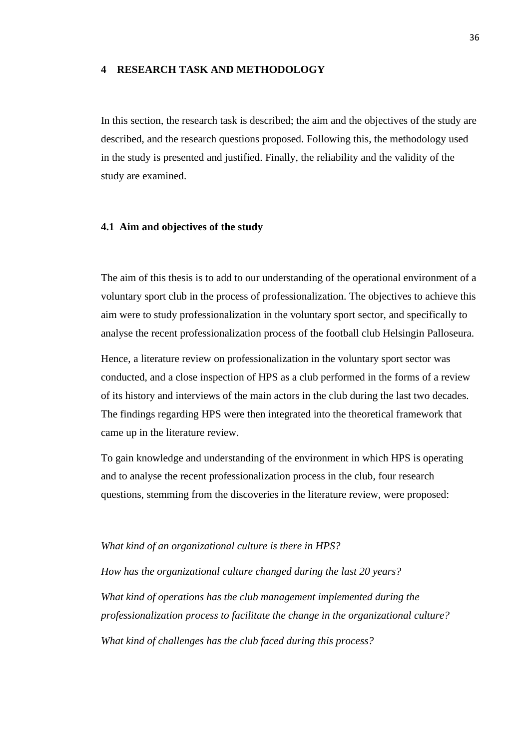### **4 RESEARCH TASK AND METHODOLOGY**

In this section, the research task is described; the aim and the objectives of the study are described, and the research questions proposed. Following this, the methodology used in the study is presented and justified. Finally, the reliability and the validity of the study are examined.

#### **4.1 Aim and objectives of the study**

The aim of this thesis is to add to our understanding of the operational environment of a voluntary sport club in the process of professionalization. The objectives to achieve this aim were to study professionalization in the voluntary sport sector, and specifically to analyse the recent professionalization process of the football club Helsingin Palloseura.

Hence, a literature review on professionalization in the voluntary sport sector was conducted, and a close inspection of HPS as a club performed in the forms of a review of its history and interviews of the main actors in the club during the last two decades. The findings regarding HPS were then integrated into the theoretical framework that came up in the literature review.

To gain knowledge and understanding of the environment in which HPS is operating and to analyse the recent professionalization process in the club, four research questions, stemming from the discoveries in the literature review, were proposed:

#### *What kind of an organizational culture is there in HPS?*

*How has the organizational culture changed during the last 20 years? What kind of operations has the club management implemented during the professionalization process to facilitate the change in the organizational culture? What kind of challenges has the club faced during this process?*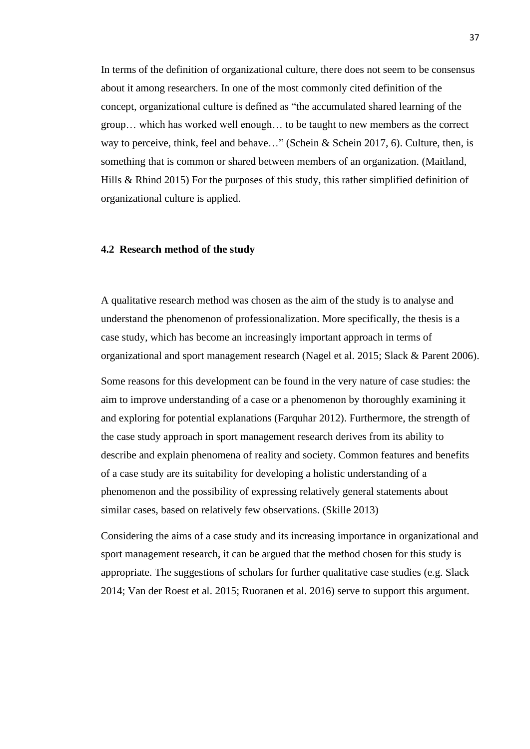In terms of the definition of organizational culture, there does not seem to be consensus about it among researchers. In one of the most commonly cited definition of the concept, organizational culture is defined as "the accumulated shared learning of the group… which has worked well enough… to be taught to new members as the correct way to perceive, think, feel and behave..." (Schein & Schein 2017, 6). Culture, then, is something that is common or shared between members of an organization. (Maitland, Hills & Rhind 2015) For the purposes of this study, this rather simplified definition of organizational culture is applied.

### **4.2 Research method of the study**

A qualitative research method was chosen as the aim of the study is to analyse and understand the phenomenon of professionalization. More specifically, the thesis is a case study, which has become an increasingly important approach in terms of organizational and sport management research (Nagel et al. 2015; Slack & Parent 2006).

Some reasons for this development can be found in the very nature of case studies: the aim to improve understanding of a case or a phenomenon by thoroughly examining it and exploring for potential explanations (Farquhar 2012). Furthermore, the strength of the case study approach in sport management research derives from its ability to describe and explain phenomena of reality and society. Common features and benefits of a case study are its suitability for developing a holistic understanding of a phenomenon and the possibility of expressing relatively general statements about similar cases, based on relatively few observations. (Skille 2013)

Considering the aims of a case study and its increasing importance in organizational and sport management research, it can be argued that the method chosen for this study is appropriate. The suggestions of scholars for further qualitative case studies (e.g. Slack 2014; Van der Roest et al. 2015; Ruoranen et al. 2016) serve to support this argument.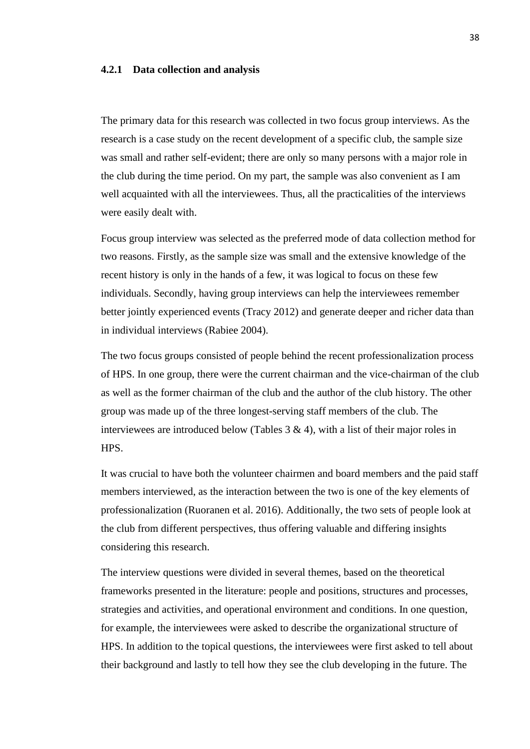### **4.2.1 Data collection and analysis**

The primary data for this research was collected in two focus group interviews. As the research is a case study on the recent development of a specific club, the sample size was small and rather self-evident; there are only so many persons with a major role in the club during the time period. On my part, the sample was also convenient as I am well acquainted with all the interviewees. Thus, all the practicalities of the interviews were easily dealt with.

Focus group interview was selected as the preferred mode of data collection method for two reasons. Firstly, as the sample size was small and the extensive knowledge of the recent history is only in the hands of a few, it was logical to focus on these few individuals. Secondly, having group interviews can help the interviewees remember better jointly experienced events (Tracy 2012) and generate deeper and richer data than in individual interviews (Rabiee 2004).

The two focus groups consisted of people behind the recent professionalization process of HPS. In one group, there were the current chairman and the vice-chairman of the club as well as the former chairman of the club and the author of the club history. The other group was made up of the three longest-serving staff members of the club. The interviewees are introduced below (Tables  $3 \& 4$ ), with a list of their major roles in HPS.

It was crucial to have both the volunteer chairmen and board members and the paid staff members interviewed, as the interaction between the two is one of the key elements of professionalization (Ruoranen et al. 2016). Additionally, the two sets of people look at the club from different perspectives, thus offering valuable and differing insights considering this research.

The interview questions were divided in several themes, based on the theoretical frameworks presented in the literature: people and positions, structures and processes, strategies and activities, and operational environment and conditions. In one question, for example, the interviewees were asked to describe the organizational structure of HPS. In addition to the topical questions, the interviewees were first asked to tell about their background and lastly to tell how they see the club developing in the future. The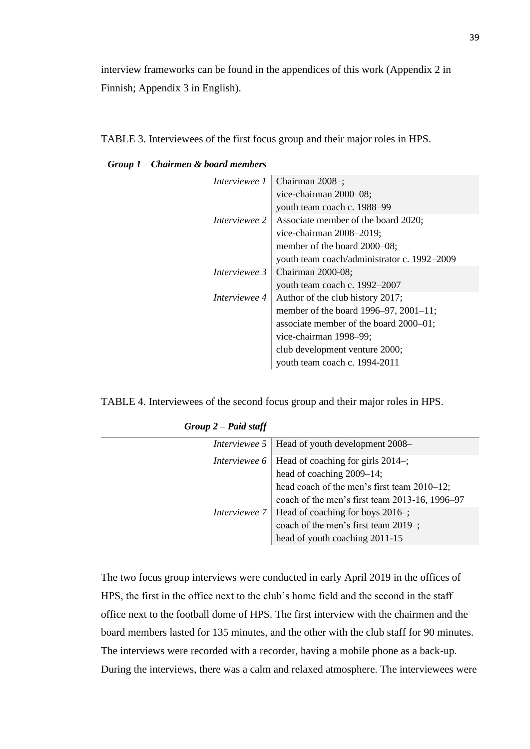interview frameworks can be found in the appendices of this work (Appendix 2 in Finnish; Appendix 3 in English).

TABLE 3. Interviewees of the first focus group and their major roles in HPS.

| <i>Interviewee 1</i> | Chairman 2008-;                                                 |  |  |  |
|----------------------|-----------------------------------------------------------------|--|--|--|
|                      | vice-chairman 2000-08;                                          |  |  |  |
|                      | youth team coach c. 1988–99                                     |  |  |  |
|                      | <i>Interviewee</i> $2 \mid$ Associate member of the board 2020; |  |  |  |
|                      | vice-chairman 2008–2019;                                        |  |  |  |
|                      | member of the board 2000–08;                                    |  |  |  |
|                      | youth team coach/administrator c. 1992–2009                     |  |  |  |
| Interviewee 3        | Chairman 2000-08;                                               |  |  |  |
|                      | youth team coach c. 1992-2007                                   |  |  |  |
| Interviewee 4        | Author of the club history 2017;                                |  |  |  |
|                      | member of the board 1996–97, 2001–11;                           |  |  |  |
|                      | associate member of the board 2000–01;                          |  |  |  |
|                      | vice-chairman 1998-99;                                          |  |  |  |
|                      | club development venture 2000;                                  |  |  |  |
|                      | youth team coach c. 1994-2011                                   |  |  |  |

*Group 1 – Chairmen & board members*

TABLE 4. Interviewees of the second focus group and their major roles in HPS.

| <i>Interviewee</i> 5   Head of youth development 2008–       |
|--------------------------------------------------------------|
| <i>Interviewee</i> 6   Head of coaching for girls 2014-;     |
| head of coaching 2009–14;                                    |
| head coach of the men's first team 2010–12;                  |
| coach of the men's first team 2013-16, 1996-97               |
| <i>Interviewee</i> $7 \mid$ Head of coaching for boys 2016-; |
| coach of the men's first team 2019-;                         |
| head of youth coaching 2011-15                               |
|                                                              |

| $Group 2 - Paid staff$ |  |  |  |
|------------------------|--|--|--|
|------------------------|--|--|--|

The two focus group interviews were conducted in early April 2019 in the offices of HPS, the first in the office next to the club's home field and the second in the staff office next to the football dome of HPS. The first interview with the chairmen and the board members lasted for 135 minutes, and the other with the club staff for 90 minutes. The interviews were recorded with a recorder, having a mobile phone as a back-up. During the interviews, there was a calm and relaxed atmosphere. The interviewees were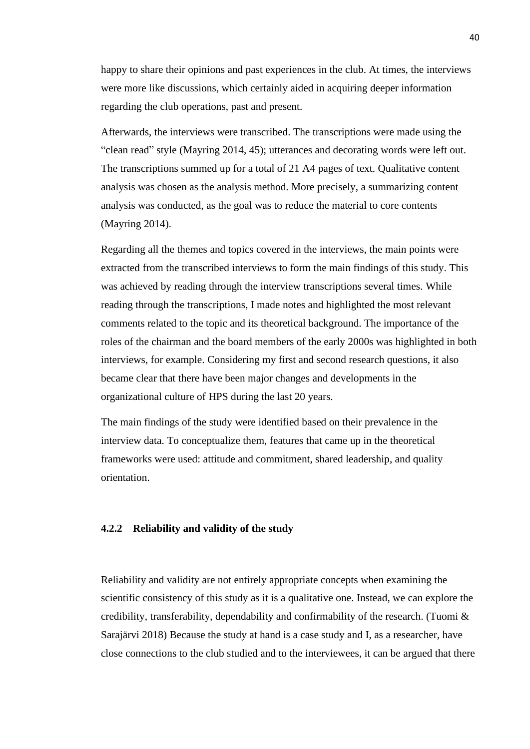happy to share their opinions and past experiences in the club. At times, the interviews were more like discussions, which certainly aided in acquiring deeper information regarding the club operations, past and present.

Afterwards, the interviews were transcribed. The transcriptions were made using the "clean read" style (Mayring 2014, 45); utterances and decorating words were left out. The transcriptions summed up for a total of 21 A4 pages of text. Qualitative content analysis was chosen as the analysis method. More precisely, a summarizing content analysis was conducted, as the goal was to reduce the material to core contents (Mayring 2014).

Regarding all the themes and topics covered in the interviews, the main points were extracted from the transcribed interviews to form the main findings of this study. This was achieved by reading through the interview transcriptions several times. While reading through the transcriptions, I made notes and highlighted the most relevant comments related to the topic and its theoretical background. The importance of the roles of the chairman and the board members of the early 2000s was highlighted in both interviews, for example. Considering my first and second research questions, it also became clear that there have been major changes and developments in the organizational culture of HPS during the last 20 years.

The main findings of the study were identified based on their prevalence in the interview data. To conceptualize them, features that came up in the theoretical frameworks were used: attitude and commitment, shared leadership, and quality orientation.

#### **4.2.2 Reliability and validity of the study**

Reliability and validity are not entirely appropriate concepts when examining the scientific consistency of this study as it is a qualitative one. Instead, we can explore the credibility, transferability, dependability and confirmability of the research. (Tuomi & Sarajärvi 2018) Because the study at hand is a case study and I, as a researcher, have close connections to the club studied and to the interviewees, it can be argued that there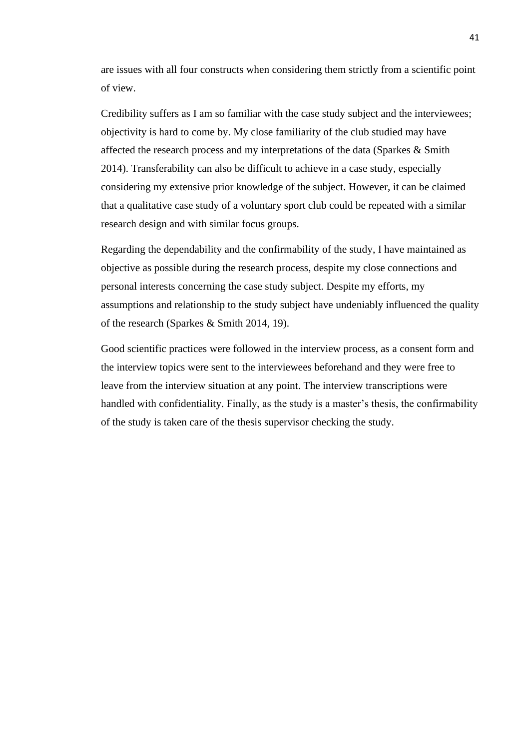are issues with all four constructs when considering them strictly from a scientific point of view.

Credibility suffers as I am so familiar with the case study subject and the interviewees; objectivity is hard to come by. My close familiarity of the club studied may have affected the research process and my interpretations of the data (Sparkes & Smith 2014). Transferability can also be difficult to achieve in a case study, especially considering my extensive prior knowledge of the subject. However, it can be claimed that a qualitative case study of a voluntary sport club could be repeated with a similar research design and with similar focus groups.

Regarding the dependability and the confirmability of the study, I have maintained as objective as possible during the research process, despite my close connections and personal interests concerning the case study subject. Despite my efforts, my assumptions and relationship to the study subject have undeniably influenced the quality of the research (Sparkes & Smith 2014, 19).

Good scientific practices were followed in the interview process, as a consent form and the interview topics were sent to the interviewees beforehand and they were free to leave from the interview situation at any point. The interview transcriptions were handled with confidentiality. Finally, as the study is a master's thesis, the confirmability of the study is taken care of the thesis supervisor checking the study.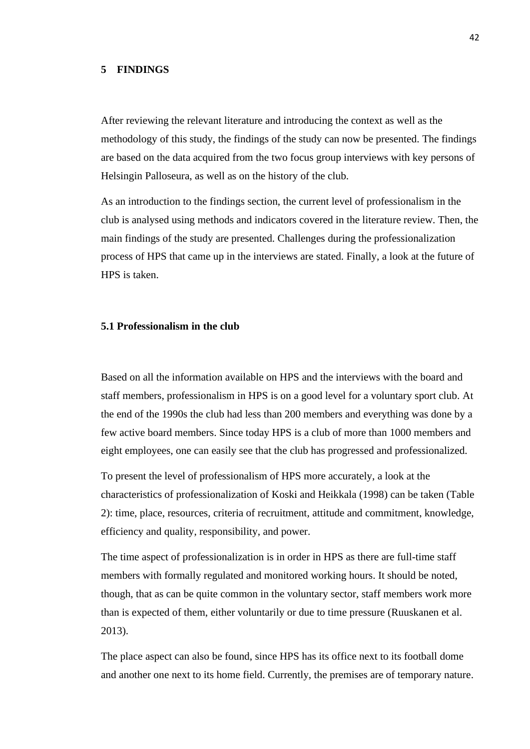### **5 FINDINGS**

After reviewing the relevant literature and introducing the context as well as the methodology of this study, the findings of the study can now be presented. The findings are based on the data acquired from the two focus group interviews with key persons of Helsingin Palloseura, as well as on the history of the club.

As an introduction to the findings section, the current level of professionalism in the club is analysed using methods and indicators covered in the literature review. Then, the main findings of the study are presented. Challenges during the professionalization process of HPS that came up in the interviews are stated. Finally, a look at the future of HPS is taken.

## **5.1 Professionalism in the club**

Based on all the information available on HPS and the interviews with the board and staff members, professionalism in HPS is on a good level for a voluntary sport club. At the end of the 1990s the club had less than 200 members and everything was done by a few active board members. Since today HPS is a club of more than 1000 members and eight employees, one can easily see that the club has progressed and professionalized.

To present the level of professionalism of HPS more accurately, a look at the characteristics of professionalization of Koski and Heikkala (1998) can be taken (Table 2): time, place, resources, criteria of recruitment, attitude and commitment, knowledge, efficiency and quality, responsibility, and power.

The time aspect of professionalization is in order in HPS as there are full-time staff members with formally regulated and monitored working hours. It should be noted, though, that as can be quite common in the voluntary sector, staff members work more than is expected of them, either voluntarily or due to time pressure (Ruuskanen et al. 2013).

The place aspect can also be found, since HPS has its office next to its football dome and another one next to its home field. Currently, the premises are of temporary nature.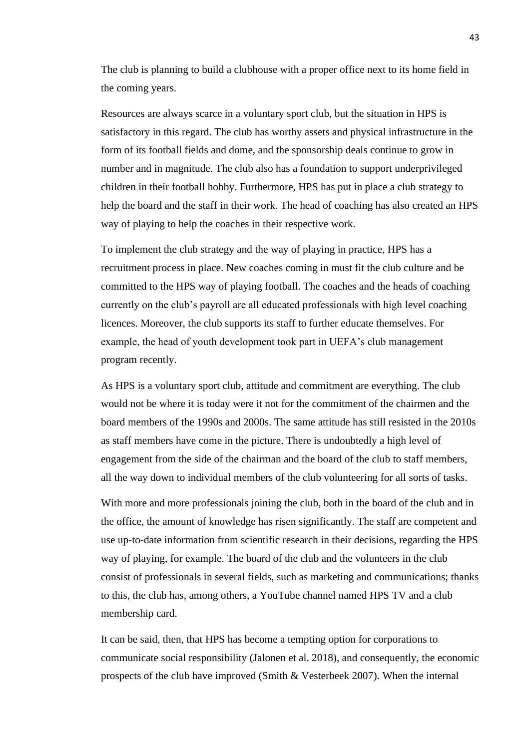The club is planning to build a clubhouse with a proper office next to its home field in the coming years.

Resources are always scarce in a voluntary sport club, but the situation in HPS is satisfactory in this regard. The club has worthy assets and physical infrastructure in the form of its football fields and dome, and the sponsorship deals continue to grow in number and in magnitude. The club also has a foundation to support underprivileged children in their football hobby. Furthermore, HPS has put in place a club strategy to help the board and the staff in their work. The head of coaching has also created an HPS way of playing to help the coaches in their respective work.

To implement the club strategy and the way of playing in practice, HPS has a recruitment process in place. New coaches coming in must fit the club culture and be committed to the HPS way of playing football. The coaches and the heads of coaching currently on the club's payroll are all educated professionals with high level coaching licences. Moreover, the club supports its staff to further educate themselves. For example, the head of youth development took part in UEFA's club management program recently.

As HPS is a voluntary sport club, attitude and commitment are everything. The club would not be where it is today were it not for the commitment of the chairmen and the board members of the 1990s and 2000s. The same attitude has still resisted in the 2010s as staff members have come in the picture. There is undoubtedly a high level of engagement from the side of the chairman and the board of the club to staff members, all the way down to individual members of the club volunteering for all sorts of tasks.

With more and more professionals joining the club, both in the board of the club and in the office, the amount of knowledge has risen significantly. The staff are competent and use up-to-date information from scientific research in their decisions, regarding the HPS way of playing, for example. The board of the club and the volunteers in the club consist of professionals in several fields, such as marketing and communications; thanks to this, the club has, among others, a YouTube channel named HPS TV and a club membership card.

It can be said, then, that HPS has become a tempting option for corporations to communicate social responsibility (Jalonen et al. 2018), and consequently, the economic prospects of the club have improved (Smith & Vesterbeek 2007). When the internal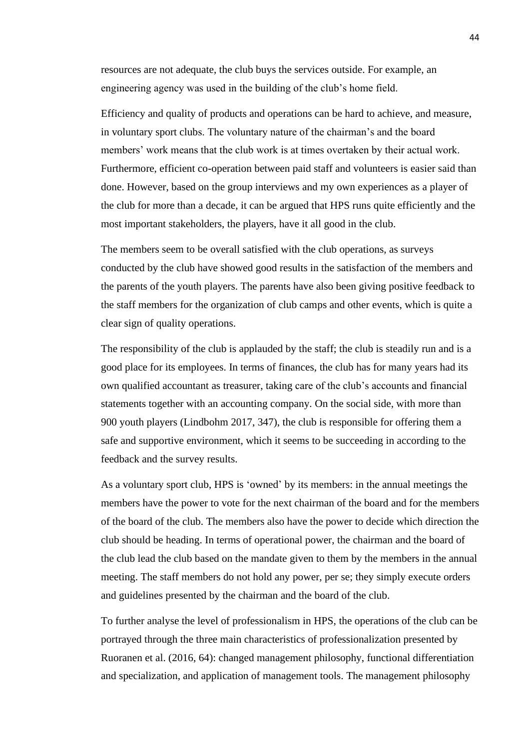resources are not adequate, the club buys the services outside. For example, an engineering agency was used in the building of the club's home field.

Efficiency and quality of products and operations can be hard to achieve, and measure, in voluntary sport clubs. The voluntary nature of the chairman's and the board members' work means that the club work is at times overtaken by their actual work. Furthermore, efficient co-operation between paid staff and volunteers is easier said than done. However, based on the group interviews and my own experiences as a player of the club for more than a decade, it can be argued that HPS runs quite efficiently and the most important stakeholders, the players, have it all good in the club.

The members seem to be overall satisfied with the club operations, as surveys conducted by the club have showed good results in the satisfaction of the members and the parents of the youth players. The parents have also been giving positive feedback to the staff members for the organization of club camps and other events, which is quite a clear sign of quality operations.

The responsibility of the club is applauded by the staff; the club is steadily run and is a good place for its employees. In terms of finances, the club has for many years had its own qualified accountant as treasurer, taking care of the club's accounts and financial statements together with an accounting company. On the social side, with more than 900 youth players (Lindbohm 2017, 347), the club is responsible for offering them a safe and supportive environment, which it seems to be succeeding in according to the feedback and the survey results.

As a voluntary sport club, HPS is 'owned' by its members: in the annual meetings the members have the power to vote for the next chairman of the board and for the members of the board of the club. The members also have the power to decide which direction the club should be heading. In terms of operational power, the chairman and the board of the club lead the club based on the mandate given to them by the members in the annual meeting. The staff members do not hold any power, per se; they simply execute orders and guidelines presented by the chairman and the board of the club.

To further analyse the level of professionalism in HPS, the operations of the club can be portrayed through the three main characteristics of professionalization presented by Ruoranen et al. (2016, 64): changed management philosophy, functional differentiation and specialization, and application of management tools. The management philosophy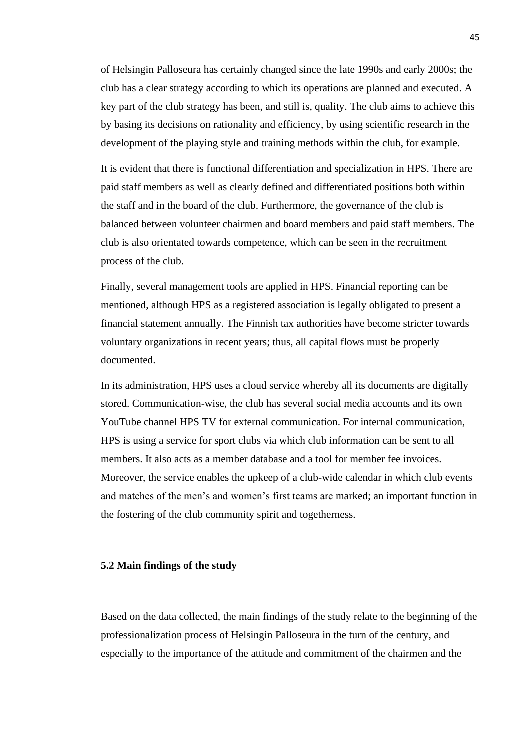of Helsingin Palloseura has certainly changed since the late 1990s and early 2000s; the club has a clear strategy according to which its operations are planned and executed. A key part of the club strategy has been, and still is, quality. The club aims to achieve this by basing its decisions on rationality and efficiency, by using scientific research in the development of the playing style and training methods within the club, for example.

It is evident that there is functional differentiation and specialization in HPS. There are paid staff members as well as clearly defined and differentiated positions both within the staff and in the board of the club. Furthermore, the governance of the club is balanced between volunteer chairmen and board members and paid staff members. The club is also orientated towards competence, which can be seen in the recruitment process of the club.

Finally, several management tools are applied in HPS. Financial reporting can be mentioned, although HPS as a registered association is legally obligated to present a financial statement annually. The Finnish tax authorities have become stricter towards voluntary organizations in recent years; thus, all capital flows must be properly documented.

In its administration, HPS uses a cloud service whereby all its documents are digitally stored. Communication-wise, the club has several social media accounts and its own YouTube channel HPS TV for external communication. For internal communication, HPS is using a service for sport clubs via which club information can be sent to all members. It also acts as a member database and a tool for member fee invoices. Moreover, the service enables the upkeep of a club-wide calendar in which club events and matches of the men's and women's first teams are marked; an important function in the fostering of the club community spirit and togetherness.

### **5.2 Main findings of the study**

Based on the data collected, the main findings of the study relate to the beginning of the professionalization process of Helsingin Palloseura in the turn of the century, and especially to the importance of the attitude and commitment of the chairmen and the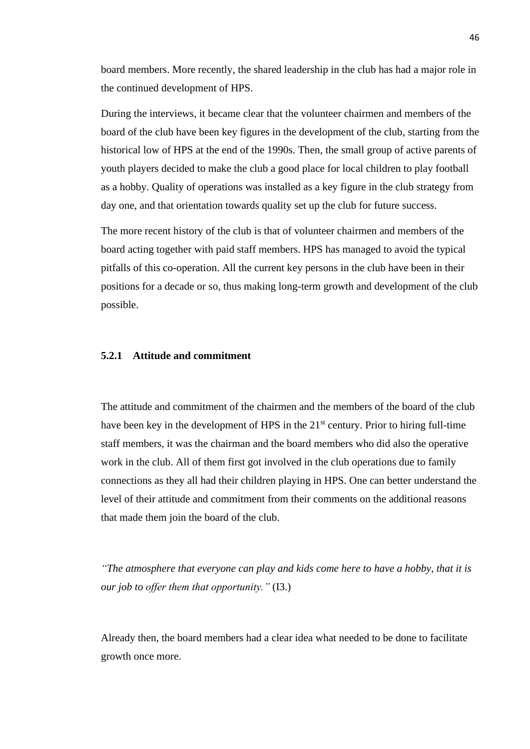board members. More recently, the shared leadership in the club has had a major role in the continued development of HPS.

During the interviews, it became clear that the volunteer chairmen and members of the board of the club have been key figures in the development of the club, starting from the historical low of HPS at the end of the 1990s. Then, the small group of active parents of youth players decided to make the club a good place for local children to play football as a hobby. Quality of operations was installed as a key figure in the club strategy from day one, and that orientation towards quality set up the club for future success.

The more recent history of the club is that of volunteer chairmen and members of the board acting together with paid staff members. HPS has managed to avoid the typical pitfalls of this co-operation. All the current key persons in the club have been in their positions for a decade or so, thus making long-term growth and development of the club possible.

## **5.2.1 Attitude and commitment**

The attitude and commitment of the chairmen and the members of the board of the club have been key in the development of HPS in the 21<sup>st</sup> century. Prior to hiring full-time staff members, it was the chairman and the board members who did also the operative work in the club. All of them first got involved in the club operations due to family connections as they all had their children playing in HPS. One can better understand the level of their attitude and commitment from their comments on the additional reasons that made them join the board of the club.

*"The atmosphere that everyone can play and kids come here to have a hobby, that it is our job to offer them that opportunity."* (I3.)

Already then, the board members had a clear idea what needed to be done to facilitate growth once more.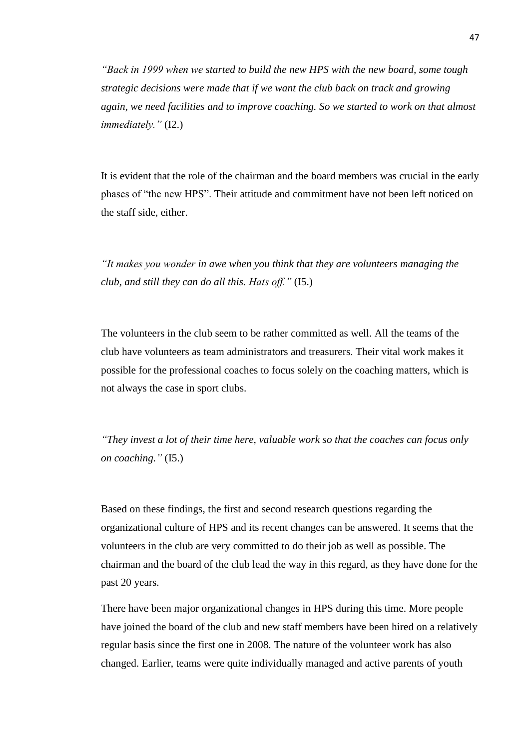*"Back in 1999 when we started to build the new HPS with the new board, some tough strategic decisions were made that if we want the club back on track and growing again, we need facilities and to improve coaching. So we started to work on that almost immediately."* (I2.)

It is evident that the role of the chairman and the board members was crucial in the early phases of "the new HPS". Their attitude and commitment have not been left noticed on the staff side, either.

*"It makes you wonder in awe when you think that they are volunteers managing the club, and still they can do all this. Hats off."* (I5.)

The volunteers in the club seem to be rather committed as well. All the teams of the club have volunteers as team administrators and treasurers. Their vital work makes it possible for the professional coaches to focus solely on the coaching matters, which is not always the case in sport clubs.

*"They invest a lot of their time here, valuable work so that the coaches can focus only on coaching."* (I5.)

Based on these findings, the first and second research questions regarding the organizational culture of HPS and its recent changes can be answered. It seems that the volunteers in the club are very committed to do their job as well as possible. The chairman and the board of the club lead the way in this regard, as they have done for the past 20 years.

There have been major organizational changes in HPS during this time. More people have joined the board of the club and new staff members have been hired on a relatively regular basis since the first one in 2008. The nature of the volunteer work has also changed. Earlier, teams were quite individually managed and active parents of youth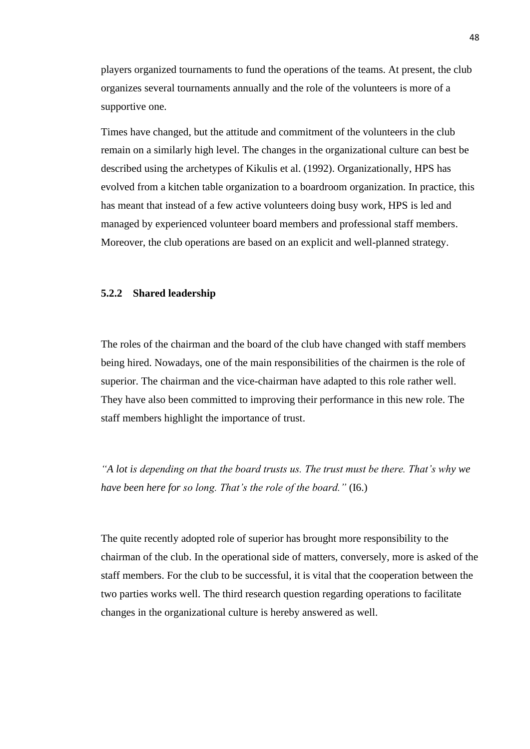players organized tournaments to fund the operations of the teams. At present, the club organizes several tournaments annually and the role of the volunteers is more of a supportive one.

Times have changed, but the attitude and commitment of the volunteers in the club remain on a similarly high level. The changes in the organizational culture can best be described using the archetypes of Kikulis et al. (1992). Organizationally, HPS has evolved from a kitchen table organization to a boardroom organization. In practice, this has meant that instead of a few active volunteers doing busy work, HPS is led and managed by experienced volunteer board members and professional staff members. Moreover, the club operations are based on an explicit and well-planned strategy.

### **5.2.2 Shared leadership**

The roles of the chairman and the board of the club have changed with staff members being hired. Nowadays, one of the main responsibilities of the chairmen is the role of superior. The chairman and the vice-chairman have adapted to this role rather well. They have also been committed to improving their performance in this new role. The staff members highlight the importance of trust.

*"A lot is depending on that the board trusts us. The trust must be there. That's why we have been here for so long. That's the role of the board."* (I6.)

The quite recently adopted role of superior has brought more responsibility to the chairman of the club. In the operational side of matters, conversely, more is asked of the staff members. For the club to be successful, it is vital that the cooperation between the two parties works well. The third research question regarding operations to facilitate changes in the organizational culture is hereby answered as well.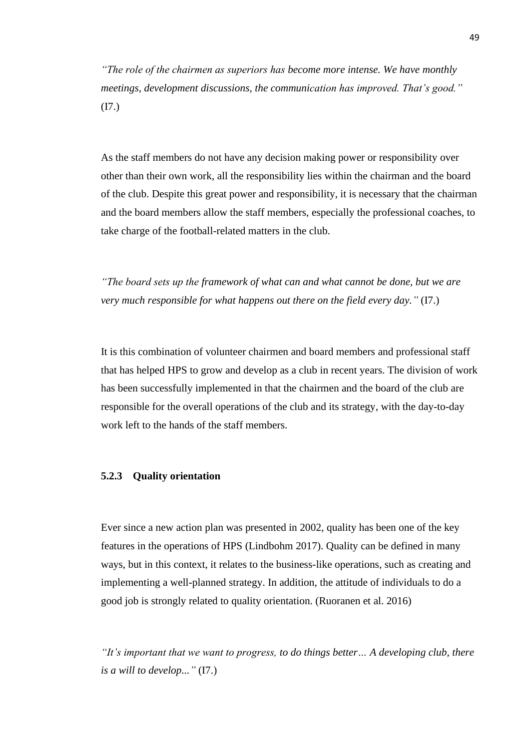*"The role of the chairmen as superiors has become more intense. We have monthly meetings, development discussions, the communication has improved. That's good."*  (I7.)

As the staff members do not have any decision making power or responsibility over other than their own work, all the responsibility lies within the chairman and the board of the club. Despite this great power and responsibility, it is necessary that the chairman and the board members allow the staff members, especially the professional coaches, to take charge of the football-related matters in the club.

*"The board sets up the framework of what can and what cannot be done, but we are very much responsible for what happens out there on the field every day."* (I7.)

It is this combination of volunteer chairmen and board members and professional staff that has helped HPS to grow and develop as a club in recent years. The division of work has been successfully implemented in that the chairmen and the board of the club are responsible for the overall operations of the club and its strategy, with the day-to-day work left to the hands of the staff members.

### **5.2.3 Quality orientation**

Ever since a new action plan was presented in 2002, quality has been one of the key features in the operations of HPS (Lindbohm 2017). Quality can be defined in many ways, but in this context, it relates to the business-like operations, such as creating and implementing a well-planned strategy. In addition, the attitude of individuals to do a good job is strongly related to quality orientation. (Ruoranen et al. 2016)

*"It's important that we want to progress, to do things better… A developing club, there is a will to develop..."* (I7.)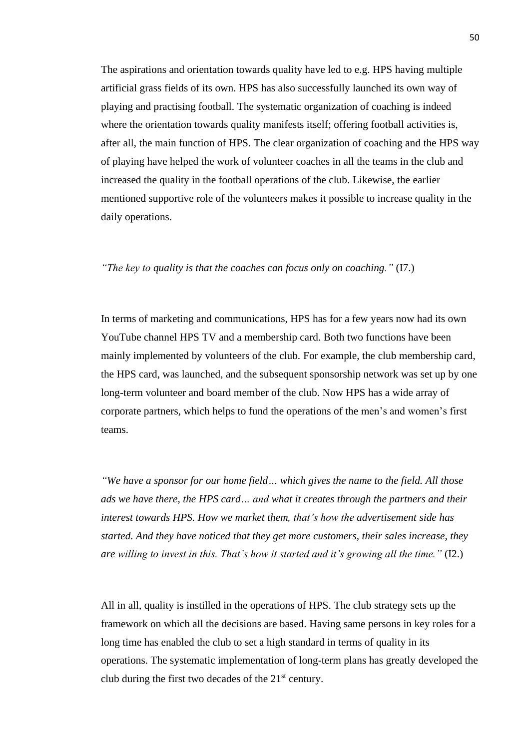The aspirations and orientation towards quality have led to e.g. HPS having multiple artificial grass fields of its own. HPS has also successfully launched its own way of playing and practising football. The systematic organization of coaching is indeed where the orientation towards quality manifests itself; offering football activities is, after all, the main function of HPS. The clear organization of coaching and the HPS way of playing have helped the work of volunteer coaches in all the teams in the club and increased the quality in the football operations of the club. Likewise, the earlier mentioned supportive role of the volunteers makes it possible to increase quality in the daily operations.

### *"The key to quality is that the coaches can focus only on coaching."* (I7.)

In terms of marketing and communications, HPS has for a few years now had its own YouTube channel HPS TV and a membership card. Both two functions have been mainly implemented by volunteers of the club. For example, the club membership card, the HPS card, was launched, and the subsequent sponsorship network was set up by one long-term volunteer and board member of the club. Now HPS has a wide array of corporate partners, which helps to fund the operations of the men's and women's first teams.

*"We have a sponsor for our home field… which gives the name to the field. All those ads we have there, the HPS card… and what it creates through the partners and their interest towards HPS. How we market them, that's how the advertisement side has started. And they have noticed that they get more customers, their sales increase, they are willing to invest in this. That's how it started and it's growing all the time."* (I2.)

All in all, quality is instilled in the operations of HPS. The club strategy sets up the framework on which all the decisions are based. Having same persons in key roles for a long time has enabled the club to set a high standard in terms of quality in its operations. The systematic implementation of long-term plans has greatly developed the club during the first two decades of the  $21<sup>st</sup>$  century.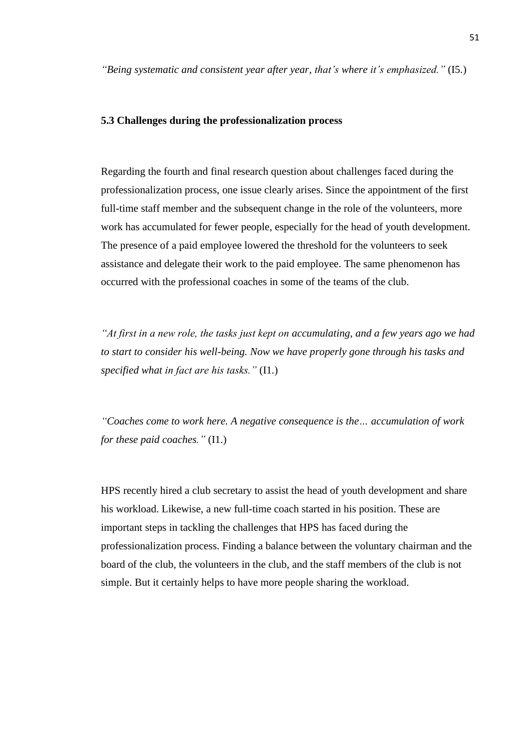*"Being systematic and consistent year after year, that's where it's emphasized."* (I5.)

### **5.3 Challenges during the professionalization process**

Regarding the fourth and final research question about challenges faced during the professionalization process, one issue clearly arises. Since the appointment of the first full-time staff member and the subsequent change in the role of the volunteers, more work has accumulated for fewer people, especially for the head of youth development. The presence of a paid employee lowered the threshold for the volunteers to seek assistance and delegate their work to the paid employee. The same phenomenon has occurred with the professional coaches in some of the teams of the club.

*"At first in a new role, the tasks just kept on accumulating, and a few years ago we had to start to consider his well-being. Now we have properly gone through his tasks and specified what in fact are his tasks."* (I1.)

*"Coaches come to work here. A negative consequence is the… accumulation of work for these paid coaches."* (I1.)

HPS recently hired a club secretary to assist the head of youth development and share his workload. Likewise, a new full-time coach started in his position. These are important steps in tackling the challenges that HPS has faced during the professionalization process. Finding a balance between the voluntary chairman and the board of the club, the volunteers in the club, and the staff members of the club is not simple. But it certainly helps to have more people sharing the workload.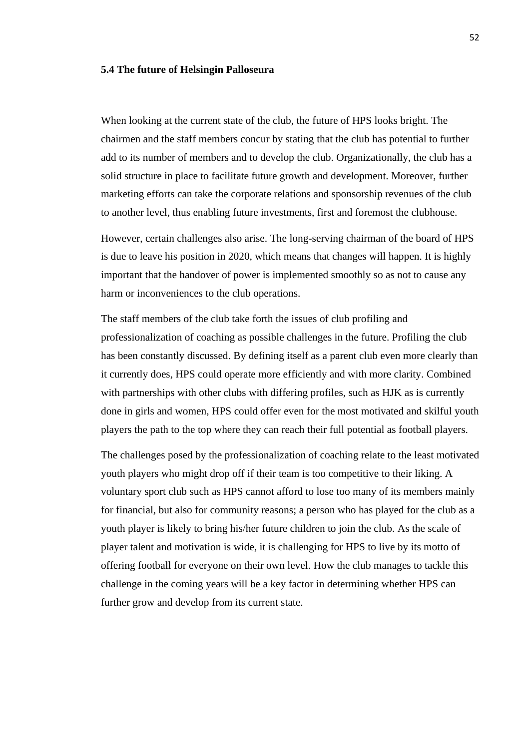#### **5.4 The future of Helsingin Palloseura**

When looking at the current state of the club, the future of HPS looks bright. The chairmen and the staff members concur by stating that the club has potential to further add to its number of members and to develop the club. Organizationally, the club has a solid structure in place to facilitate future growth and development. Moreover, further marketing efforts can take the corporate relations and sponsorship revenues of the club to another level, thus enabling future investments, first and foremost the clubhouse.

However, certain challenges also arise. The long-serving chairman of the board of HPS is due to leave his position in 2020, which means that changes will happen. It is highly important that the handover of power is implemented smoothly so as not to cause any harm or inconveniences to the club operations.

The staff members of the club take forth the issues of club profiling and professionalization of coaching as possible challenges in the future. Profiling the club has been constantly discussed. By defining itself as a parent club even more clearly than it currently does, HPS could operate more efficiently and with more clarity. Combined with partnerships with other clubs with differing profiles, such as HJK as is currently done in girls and women, HPS could offer even for the most motivated and skilful youth players the path to the top where they can reach their full potential as football players.

The challenges posed by the professionalization of coaching relate to the least motivated youth players who might drop off if their team is too competitive to their liking. A voluntary sport club such as HPS cannot afford to lose too many of its members mainly for financial, but also for community reasons; a person who has played for the club as a youth player is likely to bring his/her future children to join the club. As the scale of player talent and motivation is wide, it is challenging for HPS to live by its motto of offering football for everyone on their own level. How the club manages to tackle this challenge in the coming years will be a key factor in determining whether HPS can further grow and develop from its current state.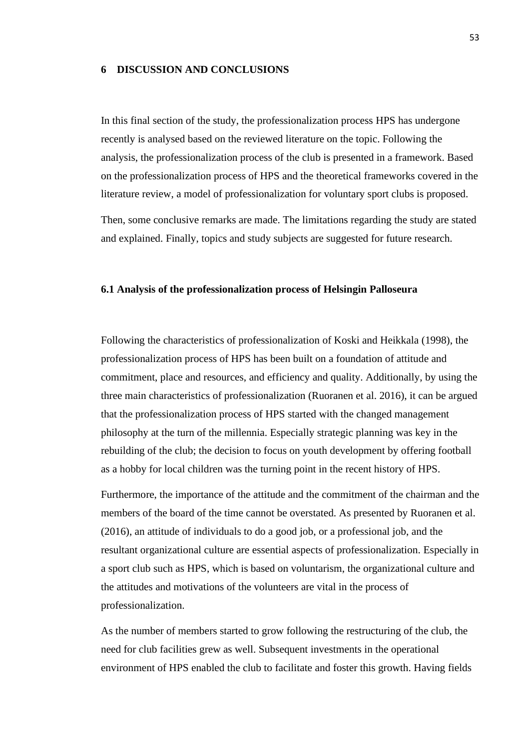### **6 DISCUSSION AND CONCLUSIONS**

In this final section of the study, the professionalization process HPS has undergone recently is analysed based on the reviewed literature on the topic. Following the analysis, the professionalization process of the club is presented in a framework. Based on the professionalization process of HPS and the theoretical frameworks covered in the literature review, a model of professionalization for voluntary sport clubs is proposed.

Then, some conclusive remarks are made. The limitations regarding the study are stated and explained. Finally, topics and study subjects are suggested for future research.

### **6.1 Analysis of the professionalization process of Helsingin Palloseura**

Following the characteristics of professionalization of Koski and Heikkala (1998), the professionalization process of HPS has been built on a foundation of attitude and commitment, place and resources, and efficiency and quality. Additionally, by using the three main characteristics of professionalization (Ruoranen et al. 2016), it can be argued that the professionalization process of HPS started with the changed management philosophy at the turn of the millennia. Especially strategic planning was key in the rebuilding of the club; the decision to focus on youth development by offering football as a hobby for local children was the turning point in the recent history of HPS.

Furthermore, the importance of the attitude and the commitment of the chairman and the members of the board of the time cannot be overstated. As presented by Ruoranen et al. (2016), an attitude of individuals to do a good job, or a professional job, and the resultant organizational culture are essential aspects of professionalization. Especially in a sport club such as HPS, which is based on voluntarism, the organizational culture and the attitudes and motivations of the volunteers are vital in the process of professionalization.

As the number of members started to grow following the restructuring of the club, the need for club facilities grew as well. Subsequent investments in the operational environment of HPS enabled the club to facilitate and foster this growth. Having fields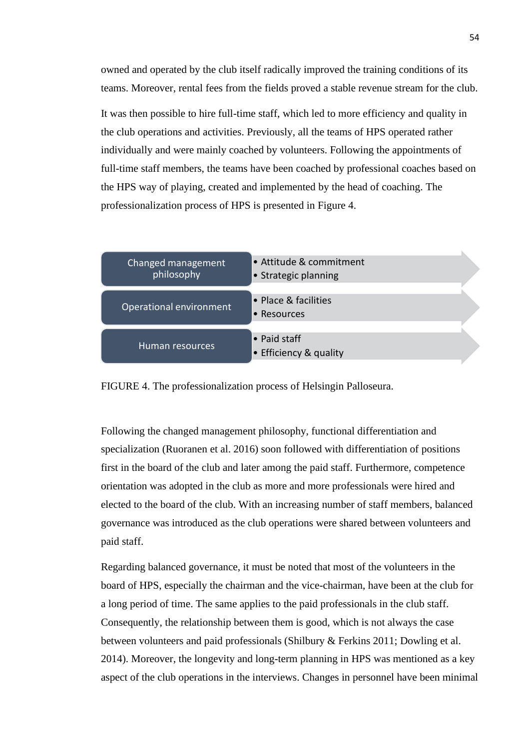owned and operated by the club itself radically improved the training conditions of its teams. Moreover, rental fees from the fields proved a stable revenue stream for the club.

It was then possible to hire full-time staff, which led to more efficiency and quality in the club operations and activities. Previously, all the teams of HPS operated rather individually and were mainly coached by volunteers. Following the appointments of full-time staff members, the teams have been coached by professional coaches based on the HPS way of playing, created and implemented by the head of coaching. The professionalization process of HPS is presented in Figure 4.



FIGURE 4. The professionalization process of Helsingin Palloseura.

Following the changed management philosophy, functional differentiation and specialization (Ruoranen et al. 2016) soon followed with differentiation of positions first in the board of the club and later among the paid staff. Furthermore, competence orientation was adopted in the club as more and more professionals were hired and elected to the board of the club. With an increasing number of staff members, balanced governance was introduced as the club operations were shared between volunteers and paid staff.

Regarding balanced governance, it must be noted that most of the volunteers in the board of HPS, especially the chairman and the vice-chairman, have been at the club for a long period of time. The same applies to the paid professionals in the club staff. Consequently, the relationship between them is good, which is not always the case between volunteers and paid professionals (Shilbury & Ferkins 2011; Dowling et al. 2014). Moreover, the longevity and long-term planning in HPS was mentioned as a key aspect of the club operations in the interviews. Changes in personnel have been minimal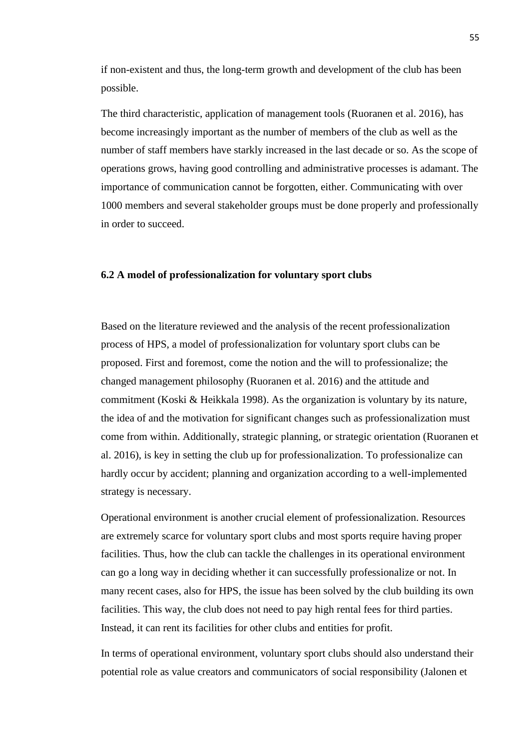if non-existent and thus, the long-term growth and development of the club has been possible.

The third characteristic, application of management tools (Ruoranen et al. 2016), has become increasingly important as the number of members of the club as well as the number of staff members have starkly increased in the last decade or so. As the scope of operations grows, having good controlling and administrative processes is adamant. The importance of communication cannot be forgotten, either. Communicating with over 1000 members and several stakeholder groups must be done properly and professionally in order to succeed.

### **6.2 A model of professionalization for voluntary sport clubs**

Based on the literature reviewed and the analysis of the recent professionalization process of HPS, a model of professionalization for voluntary sport clubs can be proposed. First and foremost, come the notion and the will to professionalize; the changed management philosophy (Ruoranen et al. 2016) and the attitude and commitment (Koski & Heikkala 1998). As the organization is voluntary by its nature, the idea of and the motivation for significant changes such as professionalization must come from within. Additionally, strategic planning, or strategic orientation (Ruoranen et al. 2016), is key in setting the club up for professionalization. To professionalize can hardly occur by accident; planning and organization according to a well-implemented strategy is necessary.

Operational environment is another crucial element of professionalization. Resources are extremely scarce for voluntary sport clubs and most sports require having proper facilities. Thus, how the club can tackle the challenges in its operational environment can go a long way in deciding whether it can successfully professionalize or not. In many recent cases, also for HPS, the issue has been solved by the club building its own facilities. This way, the club does not need to pay high rental fees for third parties. Instead, it can rent its facilities for other clubs and entities for profit.

In terms of operational environment, voluntary sport clubs should also understand their potential role as value creators and communicators of social responsibility (Jalonen et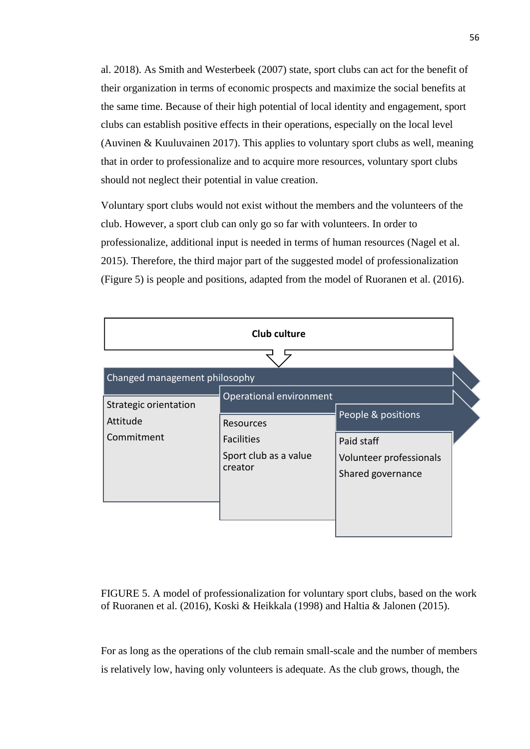al. 2018). As Smith and Westerbeek (2007) state, sport clubs can act for the benefit of their organization in terms of economic prospects and maximize the social benefits at the same time. Because of their high potential of local identity and engagement, sport clubs can establish positive effects in their operations, especially on the local level (Auvinen & Kuuluvainen 2017). This applies to voluntary sport clubs as well, meaning that in order to professionalize and to acquire more resources, voluntary sport clubs should not neglect their potential in value creation.

Voluntary sport clubs would not exist without the members and the volunteers of the club. However, a sport club can only go so far with volunteers. In order to professionalize, additional input is needed in terms of human resources (Nagel et al. 2015). Therefore, the third major part of the suggested model of professionalization (Figure 5) is people and positions, adapted from the model of Ruoranen et al. (2016).

| <b>Club culture</b>                                    |                                                                    |                                                                                  |  |  |
|--------------------------------------------------------|--------------------------------------------------------------------|----------------------------------------------------------------------------------|--|--|
| Changed management philosophy<br>Strategic orientation | Operational environment                                            |                                                                                  |  |  |
| Attitude<br>Commitment                                 | Resources<br><b>Facilities</b><br>Sport club as a value<br>creator | People & positions<br>Paid staff<br>Volunteer professionals<br>Shared governance |  |  |

FIGURE 5. A model of professionalization for voluntary sport clubs, based on the work of Ruoranen et al. (2016), Koski & Heikkala (1998) and Haltia & Jalonen (2015).

For as long as the operations of the club remain small-scale and the number of members is relatively low, having only volunteers is adequate. As the club grows, though, the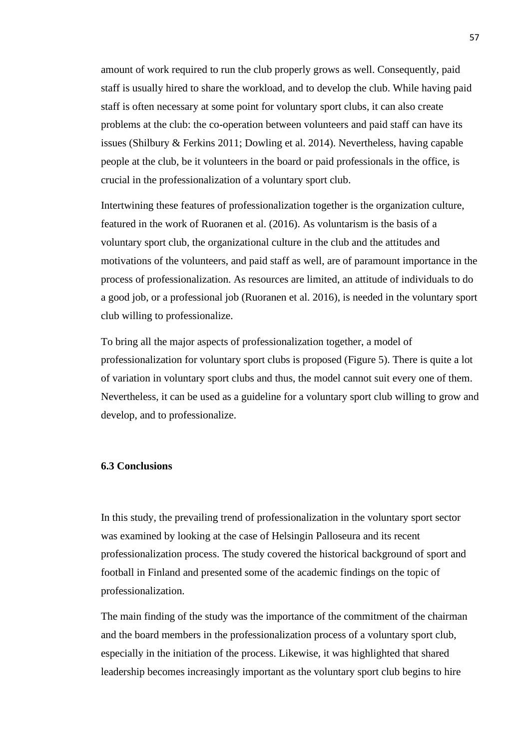amount of work required to run the club properly grows as well. Consequently, paid staff is usually hired to share the workload, and to develop the club. While having paid staff is often necessary at some point for voluntary sport clubs, it can also create problems at the club: the co-operation between volunteers and paid staff can have its issues (Shilbury & Ferkins 2011; Dowling et al. 2014). Nevertheless, having capable people at the club, be it volunteers in the board or paid professionals in the office, is crucial in the professionalization of a voluntary sport club.

Intertwining these features of professionalization together is the organization culture, featured in the work of Ruoranen et al. (2016). As voluntarism is the basis of a voluntary sport club, the organizational culture in the club and the attitudes and motivations of the volunteers, and paid staff as well, are of paramount importance in the process of professionalization. As resources are limited, an attitude of individuals to do a good job, or a professional job (Ruoranen et al. 2016), is needed in the voluntary sport club willing to professionalize.

To bring all the major aspects of professionalization together, a model of professionalization for voluntary sport clubs is proposed (Figure 5). There is quite a lot of variation in voluntary sport clubs and thus, the model cannot suit every one of them. Nevertheless, it can be used as a guideline for a voluntary sport club willing to grow and develop, and to professionalize.

## **6.3 Conclusions**

In this study, the prevailing trend of professionalization in the voluntary sport sector was examined by looking at the case of Helsingin Palloseura and its recent professionalization process. The study covered the historical background of sport and football in Finland and presented some of the academic findings on the topic of professionalization.

The main finding of the study was the importance of the commitment of the chairman and the board members in the professionalization process of a voluntary sport club, especially in the initiation of the process. Likewise, it was highlighted that shared leadership becomes increasingly important as the voluntary sport club begins to hire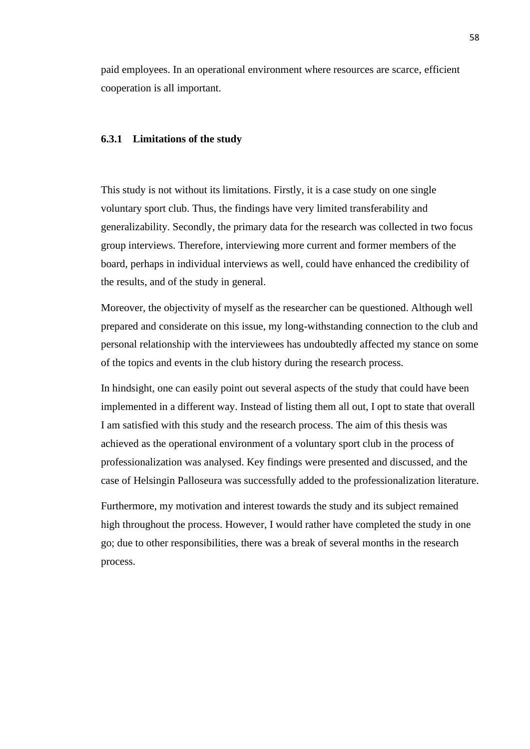paid employees. In an operational environment where resources are scarce, efficient cooperation is all important.

#### **6.3.1 Limitations of the study**

This study is not without its limitations. Firstly, it is a case study on one single voluntary sport club. Thus, the findings have very limited transferability and generalizability. Secondly, the primary data for the research was collected in two focus group interviews. Therefore, interviewing more current and former members of the board, perhaps in individual interviews as well, could have enhanced the credibility of the results, and of the study in general.

Moreover, the objectivity of myself as the researcher can be questioned. Although well prepared and considerate on this issue, my long-withstanding connection to the club and personal relationship with the interviewees has undoubtedly affected my stance on some of the topics and events in the club history during the research process.

In hindsight, one can easily point out several aspects of the study that could have been implemented in a different way. Instead of listing them all out, I opt to state that overall I am satisfied with this study and the research process. The aim of this thesis was achieved as the operational environment of a voluntary sport club in the process of professionalization was analysed. Key findings were presented and discussed, and the case of Helsingin Palloseura was successfully added to the professionalization literature.

Furthermore, my motivation and interest towards the study and its subject remained high throughout the process. However, I would rather have completed the study in one go; due to other responsibilities, there was a break of several months in the research process.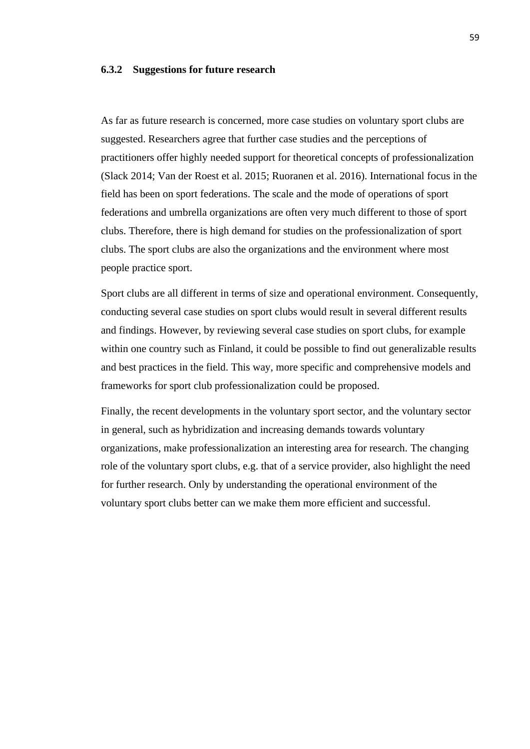#### **6.3.2 Suggestions for future research**

As far as future research is concerned, more case studies on voluntary sport clubs are suggested. Researchers agree that further case studies and the perceptions of practitioners offer highly needed support for theoretical concepts of professionalization (Slack 2014; Van der Roest et al. 2015; Ruoranen et al. 2016). International focus in the field has been on sport federations. The scale and the mode of operations of sport federations and umbrella organizations are often very much different to those of sport clubs. Therefore, there is high demand for studies on the professionalization of sport clubs. The sport clubs are also the organizations and the environment where most people practice sport.

Sport clubs are all different in terms of size and operational environment. Consequently, conducting several case studies on sport clubs would result in several different results and findings. However, by reviewing several case studies on sport clubs, for example within one country such as Finland, it could be possible to find out generalizable results and best practices in the field. This way, more specific and comprehensive models and frameworks for sport club professionalization could be proposed.

Finally, the recent developments in the voluntary sport sector, and the voluntary sector in general, such as hybridization and increasing demands towards voluntary organizations, make professionalization an interesting area for research. The changing role of the voluntary sport clubs, e.g. that of a service provider, also highlight the need for further research. Only by understanding the operational environment of the voluntary sport clubs better can we make them more efficient and successful.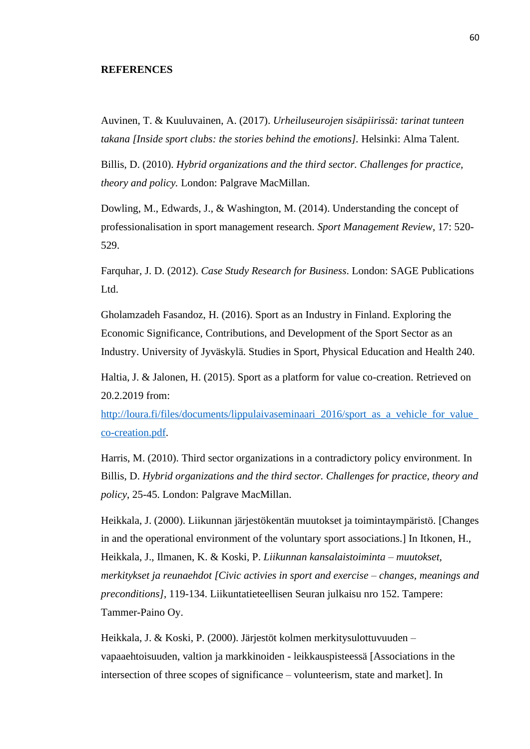### **REFERENCES**

Auvinen, T. & Kuuluvainen, A. (2017). *Urheiluseurojen sisäpiirissä: tarinat tunteen takana [Inside sport clubs: the stories behind the emotions].* Helsinki: Alma Talent.

Billis, D. (2010). *Hybrid organizations and the third sector. Challenges for practice, theory and policy.* London: Palgrave MacMillan.

Dowling, M., Edwards, J., & Washington, M. (2014). Understanding the concept of professionalisation in sport management research. *Sport Management Review*, 17: 520- 529.

Farquhar, J. D. (2012). *Case Study Research for Business*. London: SAGE Publications Ltd.

Gholamzadeh Fasandoz, H. (2016). Sport as an Industry in Finland. Exploring the Economic Significance, Contributions, and Development of the Sport Sector as an Industry. University of Jyväskylä. Studies in Sport, Physical Education and Health 240.

Haltia, J. & Jalonen, H. (2015). Sport as a platform for value co-creation. Retrieved on 20.2.2019 from:

http://loura.fi/files/documents/lippulaivaseminaari\_2016/sport\_as\_a\_vehicle\_for\_value [co-creation.pdf.](http://loura.fi/files/documents/lippulaivaseminaari_2016/sport_as_a_vehicle_for_value_co-creation.pdf)

Harris, M. (2010). Third sector organizations in a contradictory policy environment. In Billis, D. *Hybrid organizations and the third sector. Challenges for practice, theory and policy*, 25-45. London: Palgrave MacMillan.

Heikkala, J. (2000). Liikunnan järjestökentän muutokset ja toimintaympäristö. [Changes in and the operational environment of the voluntary sport associations.] In Itkonen, H., Heikkala, J., Ilmanen, K. & Koski, P. *Liikunnan kansalaistoiminta – muutokset, merkitykset ja reunaehdot [Civic activies in sport and exercise – changes, meanings and preconditions]*, 119-134. Liikuntatieteellisen Seuran julkaisu nro 152. Tampere: Tammer-Paino Oy.

Heikkala, J. & Koski, P. (2000). Järjestöt kolmen merkitysulottuvuuden – vapaaehtoisuuden, valtion ja markkinoiden - leikkauspisteessä [Associations in the intersection of three scopes of significance – volunteerism, state and market]. In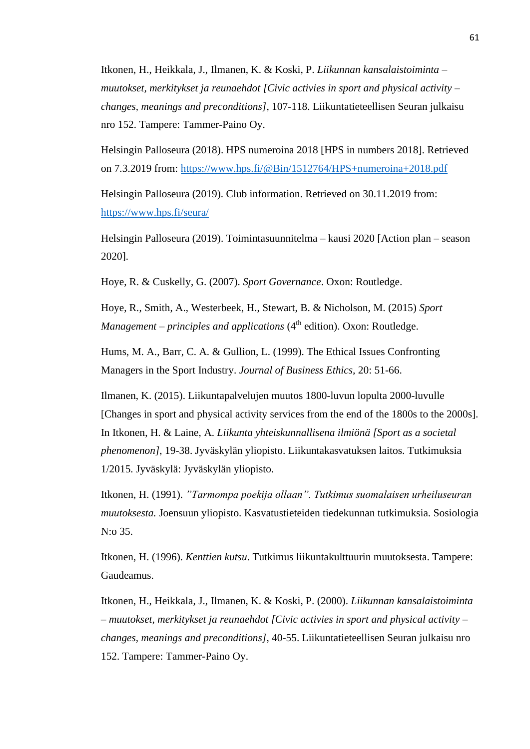Itkonen, H., Heikkala, J., Ilmanen, K. & Koski, P. *Liikunnan kansalaistoiminta – muutokset, merkitykset ja reunaehdot [Civic activies in sport and physical activity – changes, meanings and preconditions]*, 107-118. Liikuntatieteellisen Seuran julkaisu nro 152. Tampere: Tammer-Paino Oy.

Helsingin Palloseura (2018). HPS numeroina 2018 [HPS in numbers 2018]. Retrieved on 7.3.2019 from:<https://www.hps.fi/@Bin/1512764/HPS+numeroina+2018.pdf>

Helsingin Palloseura (2019). Club information. Retrieved on 30.11.2019 from: <https://www.hps.fi/seura/>

Helsingin Palloseura (2019). Toimintasuunnitelma – kausi 2020 [Action plan – season 2020].

Hoye, R. & Cuskelly, G. (2007). *Sport Governance*. Oxon: Routledge.

Hoye, R., Smith, A., Westerbeek, H., Stewart, B. & Nicholson, M. (2015) *Sport Management – principles and applications* (4<sup>th</sup> edition). Oxon: Routledge.

Hums, M. A., Barr, C. A. & Gullion, L. (1999). The Ethical Issues Confronting Managers in the Sport Industry. *Journal of Business Ethics,* 20: 51-66.

Ilmanen, K. (2015). Liikuntapalvelujen muutos 1800-luvun lopulta 2000-luvulle [Changes in sport and physical activity services from the end of the 1800s to the 2000s]. In Itkonen, H. & Laine, A. *Liikunta yhteiskunnallisena ilmiönä [Sport as a societal phenomenon]*, 19-38. Jyväskylän yliopisto. Liikuntakasvatuksen laitos. Tutkimuksia 1/2015. Jyväskylä: Jyväskylän yliopisto.

Itkonen, H. (1991). *"Tarmompa poekija ollaan". Tutkimus suomalaisen urheiluseuran muutoksesta.* Joensuun yliopisto. Kasvatustieteiden tiedekunnan tutkimuksia. Sosiologia N:o 35.

Itkonen, H. (1996). *Kenttien kutsu*. Tutkimus liikuntakulttuurin muutoksesta. Tampere: Gaudeamus.

Itkonen, H., Heikkala, J., Ilmanen, K. & Koski, P. (2000). *Liikunnan kansalaistoiminta – muutokset, merkitykset ja reunaehdot [Civic activies in sport and physical activity – changes, meanings and preconditions]*, 40-55. Liikuntatieteellisen Seuran julkaisu nro 152. Tampere: Tammer-Paino Oy.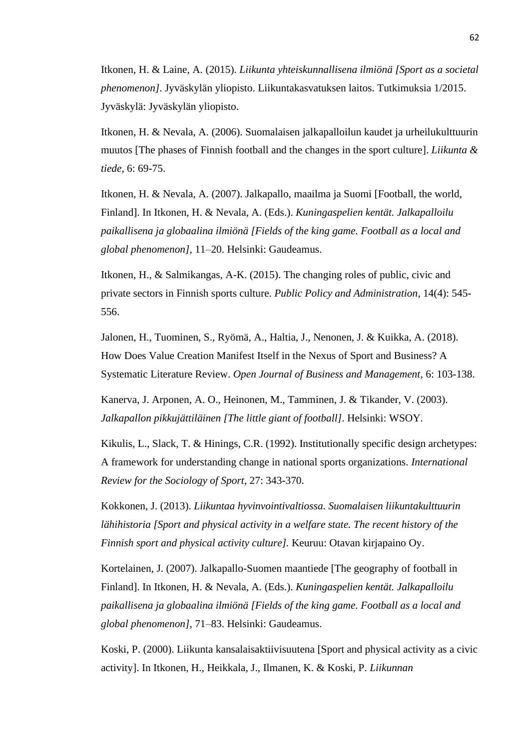Itkonen, H. & Laine, A. (2015). *Liikunta yhteiskunnallisena ilmiönä [Sport as a societal phenomenon]*. Jyväskylän yliopisto. Liikuntakasvatuksen laitos. Tutkimuksia 1/2015. Jyväskylä: Jyväskylän yliopisto.

Itkonen, H. & Nevala, A. (2006). Suomalaisen jalkapalloilun kaudet ja urheilukulttuurin muutos [The phases of Finnish football and the changes in the sport culture]. *Liikunta & tiede*, 6: 69-75.

Itkonen, H. & Nevala, A. (2007). Jalkapallo, maailma ja Suomi [Football, the world, Finland]. In Itkonen, H. & Nevala, A. (Eds.). *Kuningaspelien kentät. Jalkapalloilu paikallisena ja globaalina ilmiönä [Fields of the king game. Football as a local and global phenomenon]*, 11–20. Helsinki: Gaudeamus.

Itkonen, H., & Salmikangas, A-K. (2015). The changing roles of public, civic and private sectors in Finnish sports culture. *Public Policy and Administration*, 14(4): 545- 556.

Jalonen, H., Tuominen, S., Ryömä, A., Haltia, J., Nenonen, J. & Kuikka, A. (2018). How Does Value Creation Manifest Itself in the Nexus of Sport and Business? A Systematic Literature Review. *Open Journal of Business and Management,* 6: 103-138.

Kanerva, J. Arponen, A. O., Heinonen, M., Tamminen, J. & Tikander, V. (2003). *Jalkapallon pikkujättiläinen [The little giant of football]*. Helsinki: WSOY.

Kikulis, L., Slack, T. & Hinings, C.R. (1992). Institutionally specific design archetypes: A framework for understanding change in national sports organizations. *International Review for the Sociology of Sport*, 27: 343-370.

Kokkonen, J. (2013). *Liikuntaa hyvinvointivaltiossa. Suomalaisen liikuntakulttuurin lähihistoria [Sport and physical activity in a welfare state. The recent history of the Finnish sport and physical activity culture].* Keuruu: Otavan kirjapaino Oy.

Kortelainen, J. (2007). Jalkapallo-Suomen maantiede [The geography of football in Finland]. In Itkonen, H. & Nevala, A. (Eds.). *Kuningaspelien kentät. Jalkapalloilu paikallisena ja globaalina ilmiönä [Fields of the king game. Football as a local and global phenomenon]*, 71–83. Helsinki: Gaudeamus.

Koski, P. (2000). Liikunta kansalaisaktiivisuutena [Sport and physical activity as a civic activity]. In Itkonen, H., Heikkala, J., Ilmanen, K. & Koski, P. *Liikunnan*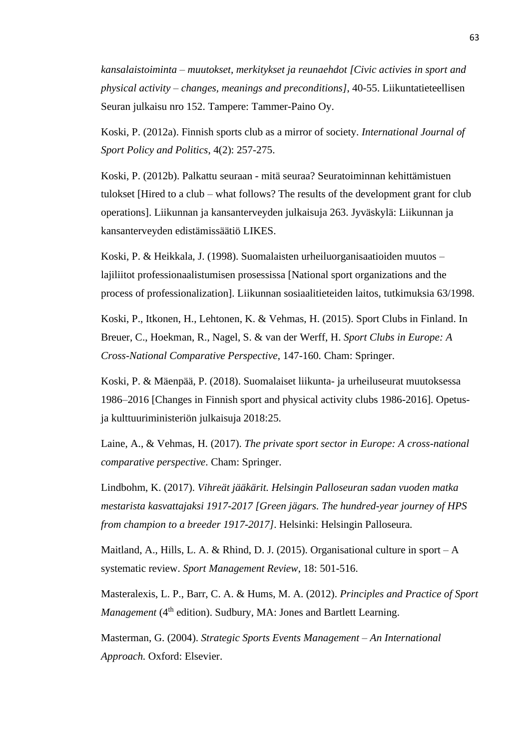*kansalaistoiminta – muutokset, merkitykset ja reunaehdot [Civic activies in sport and physical activity – changes, meanings and preconditions]*, 40-55. Liikuntatieteellisen Seuran julkaisu nro 152. Tampere: Tammer-Paino Oy.

Koski, P. (2012a). Finnish sports club as a mirror of society. *International Journal of Sport Policy and Politics*, 4(2): 257-275.

Koski, P. (2012b). Palkattu seuraan - mitä seuraa? Seuratoiminnan kehittämistuen tulokset [Hired to a club – what follows? The results of the development grant for club operations]. Liikunnan ja kansanterveyden julkaisuja 263. Jyväskylä: Liikunnan ja kansanterveyden edistämissäätiö LIKES.

Koski, P. & Heikkala, J. (1998). Suomalaisten urheiluorganisaatioiden muutos – lajiliitot professionaalistumisen prosessissa [National sport organizations and the process of professionalization]. Liikunnan sosiaalitieteiden laitos, tutkimuksia 63/1998.

Koski, P., Itkonen, H., Lehtonen, K. & Vehmas, H. (2015). Sport Clubs in Finland. In Breuer, C., Hoekman, R., Nagel, S. & van der Werff, H. *Sport Clubs in Europe: A Cross-National Comparative Perspective*, 147-160*.* Cham: Springer.

Koski, P. & Mäenpää, P. (2018). Suomalaiset liikunta- ja urheiluseurat muutoksessa 1986–2016 [Changes in Finnish sport and physical activity clubs 1986-2016]. Opetusja kulttuuriministeriön julkaisuja 2018:25.

Laine, A., & Vehmas, H. (2017). *The private sport sector in Europe: A cross-national comparative perspective*. Cham: Springer.

Lindbohm, K. (2017). *Vihreät jääkärit. Helsingin Palloseuran sadan vuoden matka mestarista kasvattajaksi 1917-2017 [Green jägars. The hundred-year journey of HPS from champion to a breeder 1917-2017]*. Helsinki: Helsingin Palloseura.

Maitland, A., Hills, L. A. & Rhind, D. J. (2015). Organisational culture in sport – A systematic review. *Sport Management Review*, 18: 501-516.

Masteralexis, L. P., Barr, C. A. & Hums, M. A. (2012). *Principles and Practice of Sport Management* (4<sup>th</sup> edition). Sudbury, MA: Jones and Bartlett Learning.

Masterman, G. (2004). *Strategic Sports Events Management – An International Approach.* Oxford: Elsevier.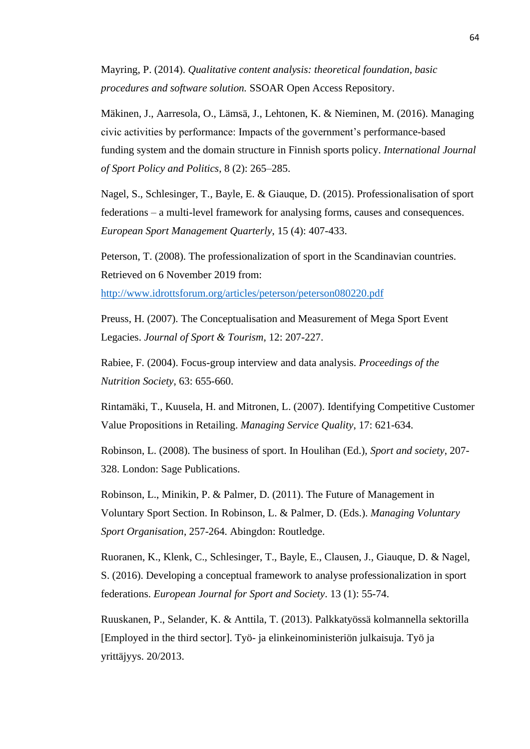Mayring, P. (2014). *Qualitative content analysis: theoretical foundation, basic procedures and software solution.* SSOAR Open Access Repository.

Mäkinen, J., Aarresola, O., Lämsä, J., Lehtonen, K. & Nieminen, M. (2016). Managing civic activities by performance: Impacts of the government's performance-based funding system and the domain structure in Finnish sports policy. *International Journal of Sport Policy and Politics*, 8 (2): 265–285.

Nagel, S., Schlesinger, T., Bayle, E. & Giauque, D. (2015). Professionalisation of sport federations – a multi-level framework for analysing forms, causes and consequences. *European Sport Management Quarterly*, 15 (4): 407-433.

Peterson, T. (2008). The professionalization of sport in the Scandinavian countries. Retrieved on 6 November 2019 from:

<http://www.idrottsforum.org/articles/peterson/peterson080220.pdf>

Preuss, H. (2007). The Conceptualisation and Measurement of Mega Sport Event Legacies. *Journal of Sport & Tourism*, 12: 207-227.

Rabiee, F. (2004). Focus-group interview and data analysis. *Proceedings of the Nutrition Society*, 63: 655-660.

Rintamäki, T., Kuusela, H. and Mitronen, L. (2007). Identifying Competitive Customer Value Propositions in Retailing. *Managing Service Quality*, 17: 621-634.

Robinson, L. (2008). The business of sport. In Houlihan (Ed.), *Sport and society*, 207- 328. London: Sage Publications.

Robinson, L., Minikin, P. & Palmer, D. (2011). The Future of Management in Voluntary Sport Section. In Robinson, L. & Palmer, D. (Eds.). *Managing Voluntary Sport Organisation*, 257-264. Abingdon: Routledge.

Ruoranen, K., Klenk, C., Schlesinger, T., Bayle, E., Clausen, J., Giauque, D. & Nagel, S. (2016). Developing a conceptual framework to analyse professionalization in sport federations. *European Journal for Sport and Society*. 13 (1): 55-74.

Ruuskanen, P., Selander, K. & Anttila, T. (2013). Palkkatyössä kolmannella sektorilla [Employed in the third sector]. Työ- ja elinkeinoministeriön julkaisuja. Työ ja yrittäjyys. 20/2013.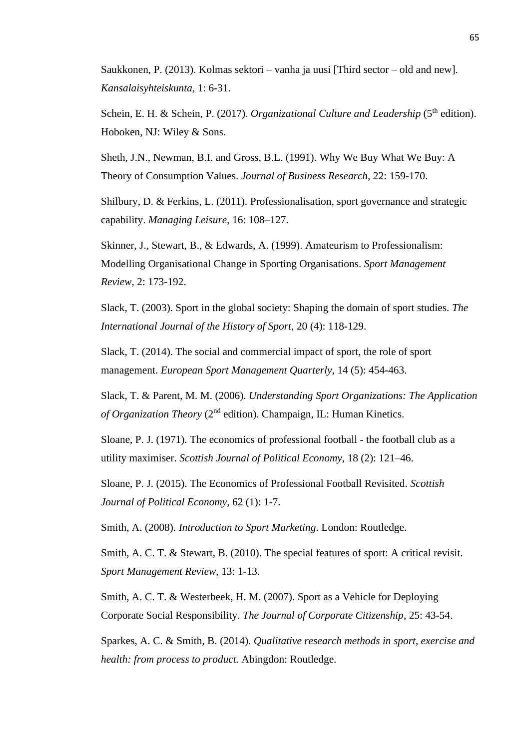Saukkonen, P. (2013). Kolmas sektori – vanha ja uusi [Third sector – old and new]. *Kansalaisyhteiskunta*, 1: 6-31.

Schein, E. H. & Schein, P. (2017). *Organizational Culture and Leadership* (5<sup>th</sup> edition). Hoboken, NJ: Wiley & Sons.

Sheth, J.N., Newman, B.I. and Gross, B.L. (1991). Why We Buy What We Buy: A Theory of Consumption Values. *Journal of Business Research*, 22: 159-170.

Shilbury, D. & Ferkins, L. (2011). Professionalisation, sport governance and strategic capability. *Managing Leisure*, 16: 108–127.

Skinner, J., Stewart, B., & Edwards, A. (1999). Amateurism to Professionalism: Modelling Organisational Change in Sporting Organisations. *Sport Management Review*, 2: 173-192.

Slack, T. (2003). Sport in the global society: Shaping the domain of sport studies. *The International Journal of the History of Sport*, 20 (4): 118-129.

Slack, T. (2014). The social and commercial impact of sport, the role of sport management. *European Sport Management Quarterly*, 14 (5): 454-463.

Slack, T. & Parent, M. M. (2006). *Understanding Sport Organizations: The Application of Organization Theory* (2nd edition). Champaign, IL: Human Kinetics.

Sloane, P. J. (1971). The economics of professional football - the football club as a utility maximiser. *Scottish Journal of Political Economy*, 18 (2): 121–46.

Sloane, P. J. (2015). The Economics of Professional Football Revisited. *Scottish Journal of Political Economy,* 62 (1): 1-7.

Smith, A. (2008). *Introduction to Sport Marketing*. London: Routledge.

Smith, A. C. T. & Stewart, B. (2010). The special features of sport: A critical revisit. *Sport Management Review,* 13: 1-13.

Smith, A. C. T. & Westerbeek, H. M. (2007). Sport as a Vehicle for Deploying Corporate Social Responsibility. *The Journal of Corporate Citizenship*, 25: 43-54.

Sparkes, A. C. & Smith, B. (2014). *Qualitative research methods in sport, exercise and health: from process to product.* Abingdon: Routledge.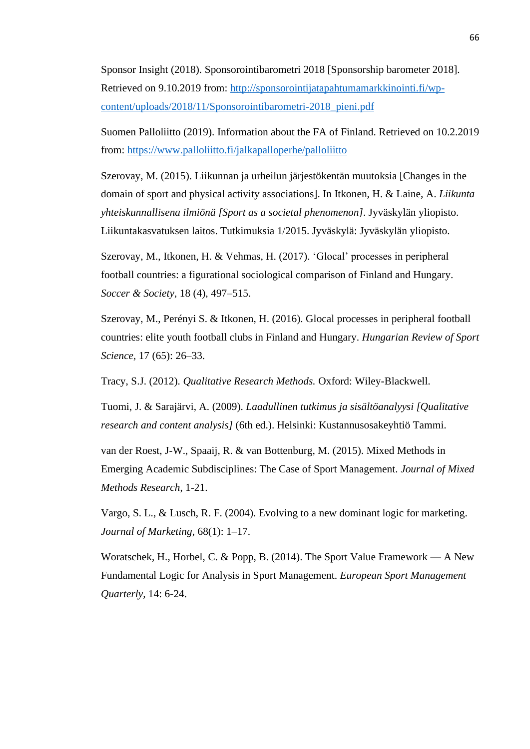Sponsor Insight (2018). Sponsorointibarometri 2018 [Sponsorship barometer 2018]. Retrieved on 9.10.2019 from: [http://sponsorointijatapahtumamarkkinointi.fi/wp](http://sponsorointijatapahtumamarkkinointi.fi/wp-content/uploads/2018/11/Sponsorointibarometri-2018_pieni.pdf)[content/uploads/2018/11/Sponsorointibarometri-2018\\_pieni.pdf](http://sponsorointijatapahtumamarkkinointi.fi/wp-content/uploads/2018/11/Sponsorointibarometri-2018_pieni.pdf)

Suomen Palloliitto (2019). Information about the FA of Finland. Retrieved on 10.2.2019 from: <https://www.palloliitto.fi/jalkapalloperhe/palloliitto>

Szerovay, M. (2015). Liikunnan ja urheilun järjestökentän muutoksia [Changes in the domain of sport and physical activity associations]. In Itkonen, H. & Laine, A. *Liikunta yhteiskunnallisena ilmiönä [Sport as a societal phenomenon]*. Jyväskylän yliopisto. Liikuntakasvatuksen laitos. Tutkimuksia 1/2015. Jyväskylä: Jyväskylän yliopisto.

Szerovay, M., Itkonen, H. & Vehmas, H. (2017). 'Glocal' processes in peripheral football countries: a figurational sociological comparison of Finland and Hungary. *Soccer & Society*, 18 (4), 497–515.

Szerovay, M., Perényi S. & Itkonen, H. (2016). Glocal processes in peripheral football countries: elite youth football clubs in Finland and Hungary. *Hungarian Review of Sport Science,* 17 (65): 26–33.

Tracy, S.J. (2012). *Qualitative Research Methods.* Oxford: Wiley-Blackwell.

Tuomi, J. & Sarajärvi, A. (2009). *Laadullinen tutkimus ja sisältöanalyysi [Qualitative research and content analysis]* (6th ed.). Helsinki: Kustannusosakeyhtiö Tammi.

van der Roest, J-W., Spaaij, R. & van Bottenburg, M. (2015). Mixed Methods in Emerging Academic Subdisciplines: The Case of Sport Management. *Journal of Mixed Methods Research*, 1-21.

Vargo, S. L., & Lusch, R. F. (2004). Evolving to a new dominant logic for marketing. *Journal of Marketing*, 68(1): 1–17.

Woratschek, H., Horbel, C. & Popp, B. (2014). The Sport Value Framework — A New Fundamental Logic for Analysis in Sport Management. *European Sport Management Quarterly,* 14: 6-24.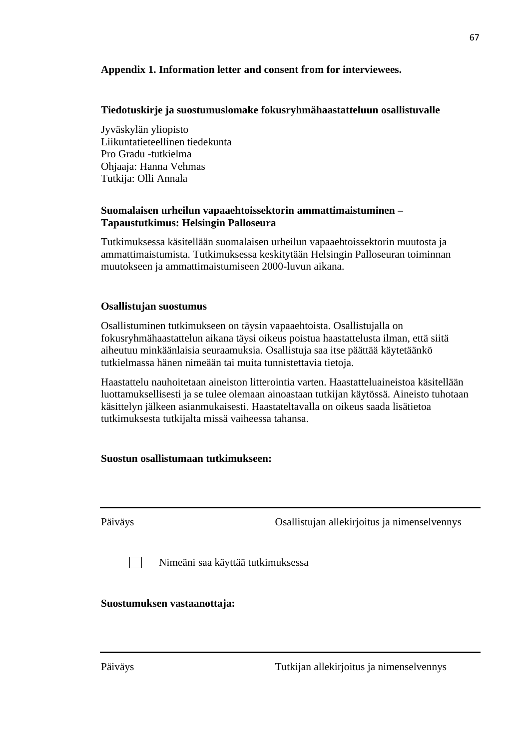## **Appendix 1. Information letter and consent from for interviewees.**

## **Tiedotuskirje ja suostumuslomake fokusryhmähaastatteluun osallistuvalle**

Jyväskylän yliopisto Liikuntatieteellinen tiedekunta Pro Gradu -tutkielma Ohjaaja: Hanna Vehmas Tutkija: Olli Annala

## **Suomalaisen urheilun vapaaehtoissektorin ammattimaistuminen – Tapaustutkimus: Helsingin Palloseura**

Tutkimuksessa käsitellään suomalaisen urheilun vapaaehtoissektorin muutosta ja ammattimaistumista. Tutkimuksessa keskitytään Helsingin Palloseuran toiminnan muutokseen ja ammattimaistumiseen 2000-luvun aikana.

## **Osallistujan suostumus**

Osallistuminen tutkimukseen on täysin vapaaehtoista. Osallistujalla on fokusryhmähaastattelun aikana täysi oikeus poistua haastattelusta ilman, että siitä aiheutuu minkäänlaisia seuraamuksia. Osallistuja saa itse päättää käytetäänkö tutkielmassa hänen nimeään tai muita tunnistettavia tietoja.

Haastattelu nauhoitetaan aineiston litterointia varten. Haastatteluaineistoa käsitellään luottamuksellisesti ja se tulee olemaan ainoastaan tutkijan käytössä. Aineisto tuhotaan käsittelyn jälkeen asianmukaisesti. Haastateltavalla on oikeus saada lisätietoa tutkimuksesta tutkijalta missä vaiheessa tahansa.

## **Suostun osallistumaan tutkimukseen:**

Päiväys Osallistujan allekirjoitus ja nimenselvennys

Nimeäni saa käyttää tutkimuksessa

## **Suostumuksen vastaanottaja:**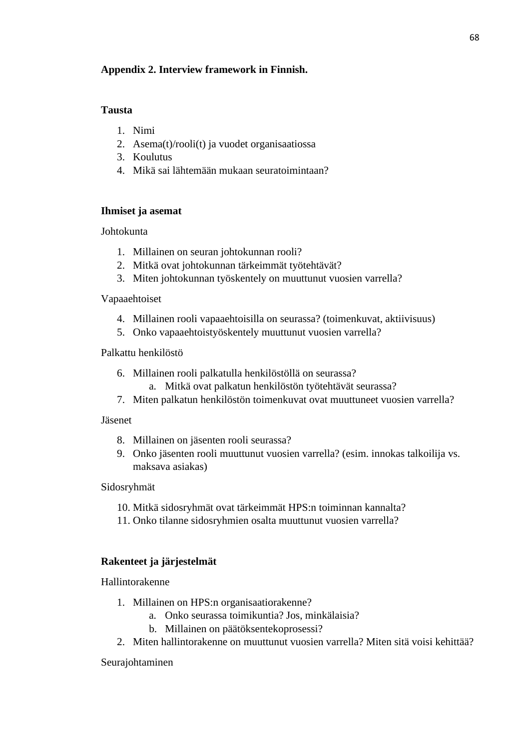## **Appendix 2. Interview framework in Finnish.**

## **Tausta**

- 1. Nimi
- 2. Asema(t)/rooli(t) ja vuodet organisaatiossa
- 3. Koulutus
- 4. Mikä sai lähtemään mukaan seuratoimintaan?

## **Ihmiset ja asemat**

Johtokunta

- 1. Millainen on seuran johtokunnan rooli?
- 2. Mitkä ovat johtokunnan tärkeimmät työtehtävät?
- 3. Miten johtokunnan työskentely on muuttunut vuosien varrella?

## Vapaaehtoiset

- 4. Millainen rooli vapaaehtoisilla on seurassa? (toimenkuvat, aktiivisuus)
- 5. Onko vapaaehtoistyöskentely muuttunut vuosien varrella?

## Palkattu henkilöstö

- 6. Millainen rooli palkatulla henkilöstöllä on seurassa?
	- a. Mitkä ovat palkatun henkilöstön työtehtävät seurassa?
- 7. Miten palkatun henkilöstön toimenkuvat ovat muuttuneet vuosien varrella?

## Jäsenet

- 8. Millainen on jäsenten rooli seurassa?
- 9. Onko jäsenten rooli muuttunut vuosien varrella? (esim. innokas talkoilija vs. maksava asiakas)

## Sidosryhmät

- 10. Mitkä sidosryhmät ovat tärkeimmät HPS:n toiminnan kannalta?
- 11. Onko tilanne sidosryhmien osalta muuttunut vuosien varrella?

# **Rakenteet ja järjestelmät**

Hallintorakenne

- 1. Millainen on HPS:n organisaatiorakenne?
	- a. Onko seurassa toimikuntia? Jos, minkälaisia?
	- b. Millainen on päätöksentekoprosessi?
- 2. Miten hallintorakenne on muuttunut vuosien varrella? Miten sitä voisi kehittää?

# Seurajohtaminen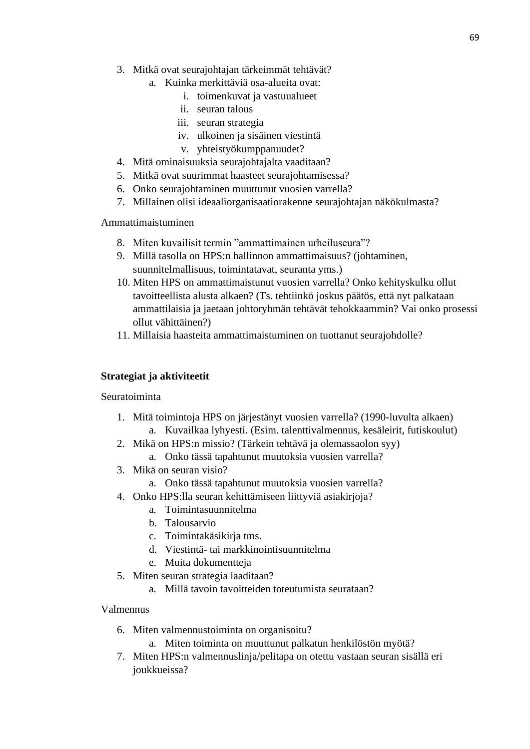- 3. Mitkä ovat seurajohtajan tärkeimmät tehtävät?
	- a. Kuinka merkittäviä osa-alueita ovat:
		- i. toimenkuvat ja vastuualueet
		- ii. seuran talous
		- iii. seuran strategia
		- iv. ulkoinen ja sisäinen viestintä
		- v. yhteistyökumppanuudet?
- 4. Mitä ominaisuuksia seurajohtajalta vaaditaan?
- 5. Mitkä ovat suurimmat haasteet seurajohtamisessa?
- 6. Onko seurajohtaminen muuttunut vuosien varrella?
- 7. Millainen olisi ideaaliorganisaatiorakenne seurajohtajan näkökulmasta?

Ammattimaistuminen

- 8. Miten kuvailisit termin "ammattimainen urheiluseura"?
- 9. Millä tasolla on HPS:n hallinnon ammattimaisuus? (johtaminen, suunnitelmallisuus, toimintatavat, seuranta yms.)
- 10. Miten HPS on ammattimaistunut vuosien varrella? Onko kehityskulku ollut tavoitteellista alusta alkaen? (Ts. tehtiinkö joskus päätös, että nyt palkataan ammattilaisia ja jaetaan johtoryhmän tehtävät tehokkaammin? Vai onko prosessi ollut vähittäinen?)
- 11. Millaisia haasteita ammattimaistuminen on tuottanut seurajohdolle?

# **Strategiat ja aktiviteetit**

# Seuratoiminta

- 1. Mitä toimintoja HPS on järjestänyt vuosien varrella? (1990-luvulta alkaen)
	- a. Kuvailkaa lyhyesti. (Esim. talenttivalmennus, kesäleirit, futiskoulut)
- 2. Mikä on HPS:n missio? (Tärkein tehtävä ja olemassaolon syy)
	- a. Onko tässä tapahtunut muutoksia vuosien varrella?
- 3. Mikä on seuran visio?
	- a. Onko tässä tapahtunut muutoksia vuosien varrella?
- 4. Onko HPS:lla seuran kehittämiseen liittyviä asiakirjoja?
	- a. Toimintasuunnitelma
	- b. Talousarvio
	- c. Toimintakäsikirja tms.
	- d. Viestintä- tai markkinointisuunnitelma
	- e. Muita dokumentteja
- 5. Miten seuran strategia laaditaan?
	- a. Millä tavoin tavoitteiden toteutumista seurataan?

# Valmennus

- 6. Miten valmennustoiminta on organisoitu?
	- a. Miten toiminta on muuttunut palkatun henkilöstön myötä?
- 7. Miten HPS:n valmennuslinja/pelitapa on otettu vastaan seuran sisällä eri joukkueissa?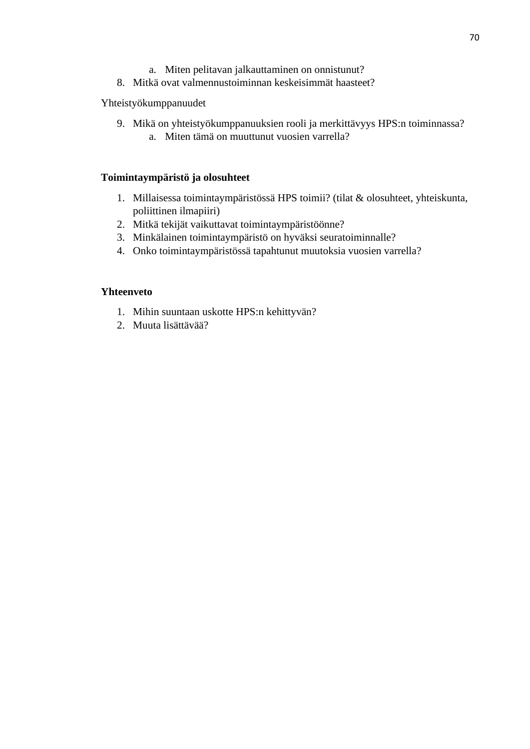- a. Miten pelitavan jalkauttaminen on onnistunut?
- 8. Mitkä ovat valmennustoiminnan keskeisimmät haasteet?

## Yhteistyökumppanuudet

9. Mikä on yhteistyökumppanuuksien rooli ja merkittävyys HPS:n toiminnassa? a. Miten tämä on muuttunut vuosien varrella?

## **Toimintaympäristö ja olosuhteet**

- 1. Millaisessa toimintaympäristössä HPS toimii? (tilat & olosuhteet, yhteiskunta, poliittinen ilmapiiri)
- 2. Mitkä tekijät vaikuttavat toimintaympäristöönne?
- 3. Minkälainen toimintaympäristö on hyväksi seuratoiminnalle?
- 4. Onko toimintaympäristössä tapahtunut muutoksia vuosien varrella?

## **Yhteenveto**

- 1. Mihin suuntaan uskotte HPS:n kehittyvän?
- 2. Muuta lisättävää?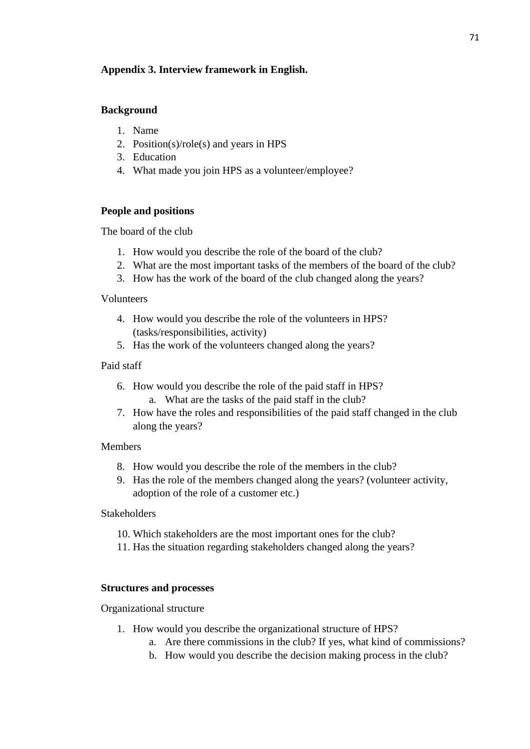# **Appendix 3. Interview framework in English.**

### **Background**

- 1. Name
- 2. Position(s)/role(s) and years in HPS
- 3. Education
- 4. What made you join HPS as a volunteer/employee?

## **People and positions**

The board of the club

- 1. How would you describe the role of the board of the club?
- 2. What are the most important tasks of the members of the board of the club?
- 3. How has the work of the board of the club changed along the years?

#### Volunteers

- 4. How would you describe the role of the volunteers in HPS? (tasks/responsibilities, activity)
- 5. Has the work of the volunteers changed along the years?

## Paid staff

- 6. How would you describe the role of the paid staff in HPS? a. What are the tasks of the paid staff in the club?
- 7. How have the roles and responsibilities of the paid staff changed in the club along the years?

#### Members

- 8. How would you describe the role of the members in the club?
- 9. Has the role of the members changed along the years? (volunteer activity, adoption of the role of a customer etc.)

#### Stakeholders

- 10. Which stakeholders are the most important ones for the club?
- 11. Has the situation regarding stakeholders changed along the years?

#### **Structures and processes**

#### Organizational structure

- 1. How would you describe the organizational structure of HPS?
	- a. Are there commissions in the club? If yes, what kind of commissions?
	- b. How would you describe the decision making process in the club?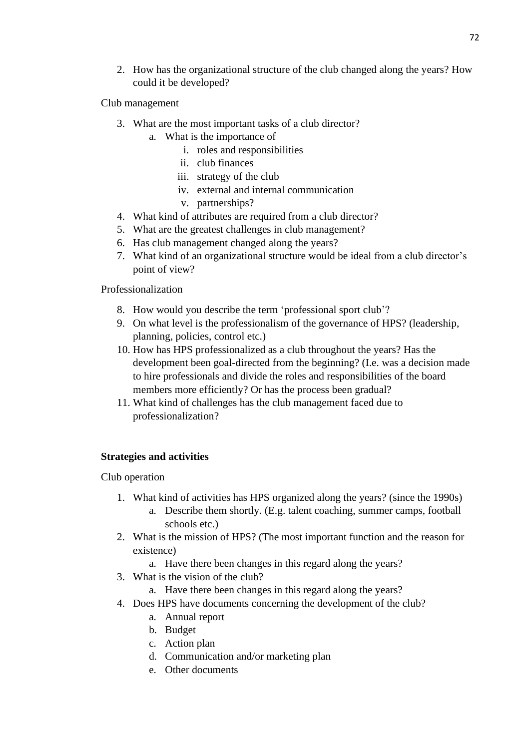2. How has the organizational structure of the club changed along the years? How could it be developed?

Club management

- 3. What are the most important tasks of a club director?
	- a. What is the importance of
		- i. roles and responsibilities
		- ii. club finances
		- iii. strategy of the club
		- iv. external and internal communication
		- v. partnerships?
- 4. What kind of attributes are required from a club director?
- 5. What are the greatest challenges in club management?
- 6. Has club management changed along the years?
- 7. What kind of an organizational structure would be ideal from a club director's point of view?

Professionalization

- 8. How would you describe the term 'professional sport club'?
- 9. On what level is the professionalism of the governance of HPS? (leadership, planning, policies, control etc.)
- 10. How has HPS professionalized as a club throughout the years? Has the development been goal-directed from the beginning? (I.e. was a decision made to hire professionals and divide the roles and responsibilities of the board members more efficiently? Or has the process been gradual?
- 11. What kind of challenges has the club management faced due to professionalization?

# **Strategies and activities**

Club operation

- 1. What kind of activities has HPS organized along the years? (since the 1990s)
	- a. Describe them shortly. (E.g. talent coaching, summer camps, football schools etc.)
- 2. What is the mission of HPS? (The most important function and the reason for existence)
	- a. Have there been changes in this regard along the years?
- 3. What is the vision of the club?
	- a. Have there been changes in this regard along the years?
- 4. Does HPS have documents concerning the development of the club?
	- a. Annual report
	- b. Budget
	- c. Action plan
	- d. Communication and/or marketing plan
	- e. Other documents